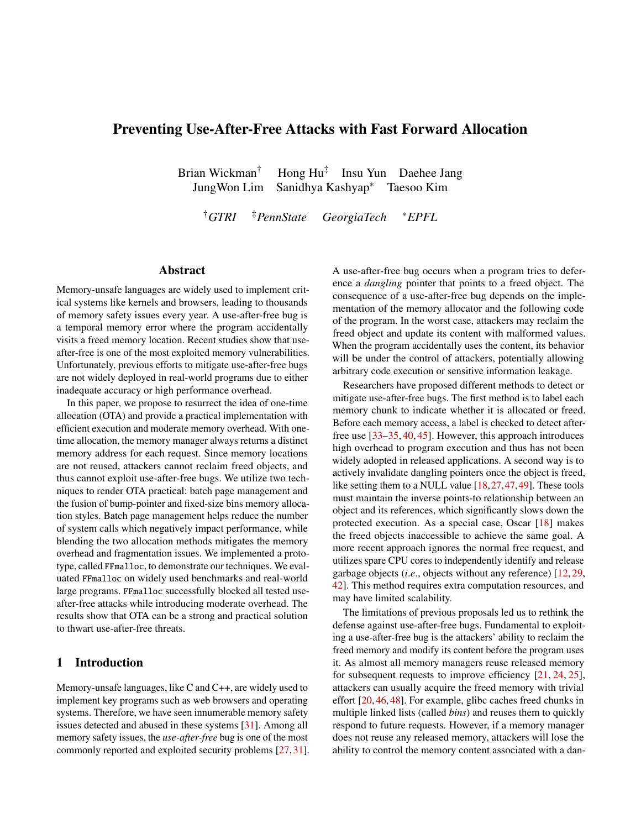# Preventing Use-After-Free Attacks with Fast Forward Allocation

Brian Wickman<sup>†</sup> Hong  $Hu^{\ddagger}$  Insu Yun Daehee Jang JungWon Lim Sanidhya Kashyap∗ Taesoo Kim

†*GTRI* ‡*PennState GeorgiaTech* <sup>∗</sup>*EPFL*

## Abstract

Memory-unsafe languages are widely used to implement critical systems like kernels and browsers, leading to thousands of memory safety issues every year. A use-after-free bug is a temporal memory error where the program accidentally visits a freed memory location. Recent studies show that useafter-free is one of the most exploited memory vulnerabilities. Unfortunately, previous efforts to mitigate use-after-free bugs are not widely deployed in real-world programs due to either inadequate accuracy or high performance overhead.

In this paper, we propose to resurrect the idea of one-time allocation (OTA) and provide a practical implementation with efficient execution and moderate memory overhead. With onetime allocation, the memory manager always returns a distinct memory address for each request. Since memory locations are not reused, attackers cannot reclaim freed objects, and thus cannot exploit use-after-free bugs. We utilize two techniques to render OTA practical: batch page management and the fusion of bump-pointer and fixed-size bins memory allocation styles. Batch page management helps reduce the number of system calls which negatively impact performance, while blending the two allocation methods mitigates the memory overhead and fragmentation issues. We implemented a prototype, called FFmalloc, to demonstrate our techniques. We evaluated FFmalloc on widely used benchmarks and real-world large programs. FFmalloc successfully blocked all tested useafter-free attacks while introducing moderate overhead. The results show that OTA can be a strong and practical solution to thwart use-after-free threats.

### 1 Introduction

Memory-unsafe languages, like C and C++, are widely used to implement key programs such as web browsers and operating systems. Therefore, we have seen innumerable memory safety issues detected and abused in these systems [\[31\]](#page-15-0). Among all memory safety issues, the *use-after-free* bug is one of the most commonly reported and exploited security problems [\[27,](#page-15-1) [31\]](#page-15-0). A use-after-free bug occurs when a program tries to deference a *dangling* pointer that points to a freed object. The consequence of a use-after-free bug depends on the implementation of the memory allocator and the following code of the program. In the worst case, attackers may reclaim the freed object and update its content with malformed values. When the program accidentally uses the content, its behavior will be under the control of attackers, potentially allowing arbitrary code execution or sensitive information leakage.

Researchers have proposed different methods to detect or mitigate use-after-free bugs. The first method is to label each memory chunk to indicate whether it is allocated or freed. Before each memory access, a label is checked to detect afterfree use [\[33–](#page-15-2)[35,](#page-15-3) [40,](#page-15-4) [45\]](#page-16-0). However, this approach introduces high overhead to program execution and thus has not been widely adopted in released applications. A second way is to actively invalidate dangling pointers once the object is freed, like setting them to a NULL value [\[18,](#page-15-5)[27,](#page-15-1)[47,](#page-16-1)[49\]](#page-16-2). These tools must maintain the inverse points-to relationship between an object and its references, which significantly slows down the protected execution. As a special case, Oscar [\[18\]](#page-15-5) makes the freed objects inaccessible to achieve the same goal. A more recent approach ignores the normal free request, and utilizes spare CPU cores to independently identify and release garbage objects (*i*.*e*., objects without any reference) [\[12,](#page-15-6) [29,](#page-15-7) [42\]](#page-15-8). This method requires extra computation resources, and may have limited scalability.

The limitations of previous proposals led us to rethink the defense against use-after-free bugs. Fundamental to exploiting a use-after-free bug is the attackers' ability to reclaim the freed memory and modify its content before the program uses it. As almost all memory managers reuse released memory for subsequent requests to improve efficiency [\[21,](#page-15-9) [24,](#page-15-10) [25\]](#page-15-11), attackers can usually acquire the freed memory with trivial effort [\[20,](#page-15-12) [46,](#page-16-3) [48\]](#page-16-4). For example, glibc caches freed chunks in multiple linked lists (called *bins*) and reuses them to quickly respond to future requests. However, if a memory manager does not reuse any released memory, attackers will lose the ability to control the memory content associated with a dan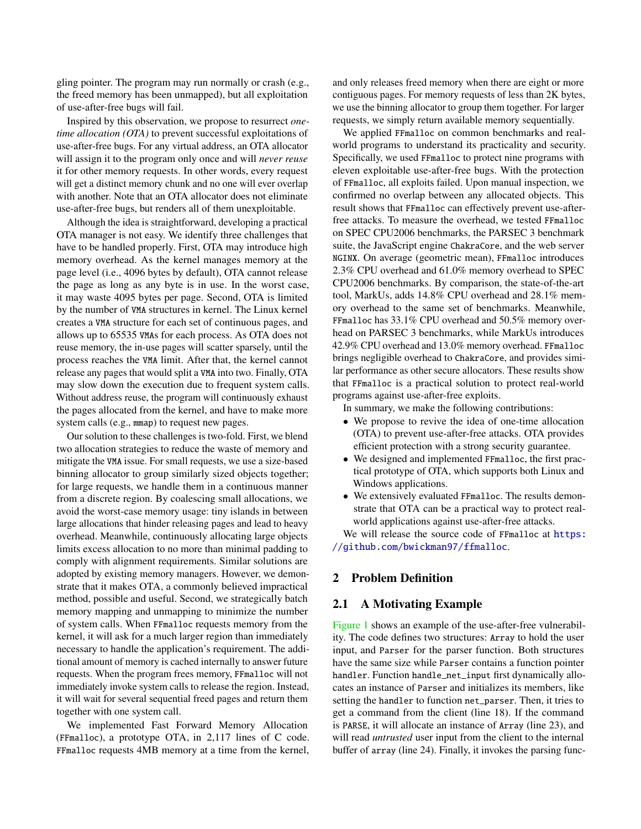gling pointer. The program may run normally or crash (e.g., the freed memory has been unmapped), but all exploitation of use-after-free bugs will fail.

Inspired by this observation, we propose to resurrect *onetime allocation (OTA)* to prevent successful exploitations of use-after-free bugs. For any virtual address, an OTA allocator will assign it to the program only once and will *never reuse* it for other memory requests. In other words, every request will get a distinct memory chunk and no one will ever overlap with another. Note that an OTA allocator does not eliminate use-after-free bugs, but renders all of them unexploitable.

Although the idea is straightforward, developing a practical OTA manager is not easy. We identify three challenges that have to be handled properly. First, OTA may introduce high memory overhead. As the kernel manages memory at the page level (i.e., 4096 bytes by default), OTA cannot release the page as long as any byte is in use. In the worst case, it may waste 4095 bytes per page. Second, OTA is limited by the number of VMA structures in kernel. The Linux kernel creates a VMA structure for each set of continuous pages, and allows up to 65535 VMAs for each process. As OTA does not reuse memory, the in-use pages will scatter sparsely, until the process reaches the VMA limit. After that, the kernel cannot release any pages that would split a VMA into two. Finally, OTA may slow down the execution due to frequent system calls. Without address reuse, the program will continuously exhaust the pages allocated from the kernel, and have to make more system calls (e.g., mmap) to request new pages.

Our solution to these challenges is two-fold. First, we blend two allocation strategies to reduce the waste of memory and mitigate the VMA issue. For small requests, we use a size-based binning allocator to group similarly sized objects together; for large requests, we handle them in a continuous manner from a discrete region. By coalescing small allocations, we avoid the worst-case memory usage: tiny islands in between large allocations that hinder releasing pages and lead to heavy overhead. Meanwhile, continuously allocating large objects limits excess allocation to no more than minimal padding to comply with alignment requirements. Similar solutions are adopted by existing memory managers. However, we demonstrate that it makes OTA, a commonly believed impractical method, possible and useful. Second, we strategically batch memory mapping and unmapping to minimize the number of system calls. When FFmalloc requests memory from the kernel, it will ask for a much larger region than immediately necessary to handle the application's requirement. The additional amount of memory is cached internally to answer future requests. When the program frees memory, FFmalloc will not immediately invoke system calls to release the region. Instead, it will wait for several sequential freed pages and return them together with one system call.

We implemented Fast Forward Memory Allocation (FFmalloc), a prototype OTA, in 2,117 lines of C code. FFmalloc requests 4MB memory at a time from the kernel, and only releases freed memory when there are eight or more contiguous pages. For memory requests of less than 2K bytes, we use the binning allocator to group them together. For larger requests, we simply return available memory sequentially.

We applied FFmalloc on common benchmarks and realworld programs to understand its practicality and security. Specifically, we used FFmalloc to protect nine programs with eleven exploitable use-after-free bugs. With the protection of FFmalloc, all exploits failed. Upon manual inspection, we confirmed no overlap between any allocated objects. This result shows that FFmalloc can effectively prevent use-afterfree attacks. To measure the overhead, we tested FFmalloc on SPEC CPU2006 benchmarks, the PARSEC 3 benchmark suite, the JavaScript engine ChakraCore, and the web server NGINX. On average (geometric mean), FFmalloc introduces 2.3% CPU overhead and 61.0% memory overhead to SPEC CPU2006 benchmarks. By comparison, the state-of-the-art tool, MarkUs, adds 14.8% CPU overhead and 28.1% memory overhead to the same set of benchmarks. Meanwhile, FFmalloc has 33.1% CPU overhead and 50.5% memory overhead on PARSEC 3 benchmarks, while MarkUs introduces 42.9% CPU overhead and 13.0% memory overhead. FFmalloc brings negligible overhead to ChakraCore, and provides similar performance as other secure allocators. These results show that FFmalloc is a practical solution to protect real-world programs against use-after-free exploits.

In summary, we make the following contributions:

- We propose to revive the idea of one-time allocation (OTA) to prevent use-after-free attacks. OTA provides efficient protection with a strong security guarantee.
- We designed and implemented FFmalloc, the first practical prototype of OTA, which supports both Linux and Windows applications.
- We extensively evaluated FFmalloc. The results demonstrate that OTA can be a practical way to protect realworld applications against use-after-free attacks.

We will release the source code of FFmalloc at [https:](https://github.com/bwickman97/ffmalloc) [//github.com/bwickman97/ffmalloc](https://github.com/bwickman97/ffmalloc).

# 2 Problem Definition

#### 2.1 A Motivating Example

[Figure 1](#page-2-0) shows an example of the use-after-free vulnerability. The code defines two structures: Array to hold the user input, and Parser for the parser function. Both structures have the same size while Parser contains a function pointer handler. Function handle\_net\_input first dynamically allocates an instance of Parser and initializes its members, like setting the handler to function net\_parser. Then, it tries to get a command from the client (line 18). If the command is PARSE, it will allocate an instance of Array (line 23), and will read *untrusted* user input from the client to the internal buffer of array (line 24). Finally, it invokes the parsing func-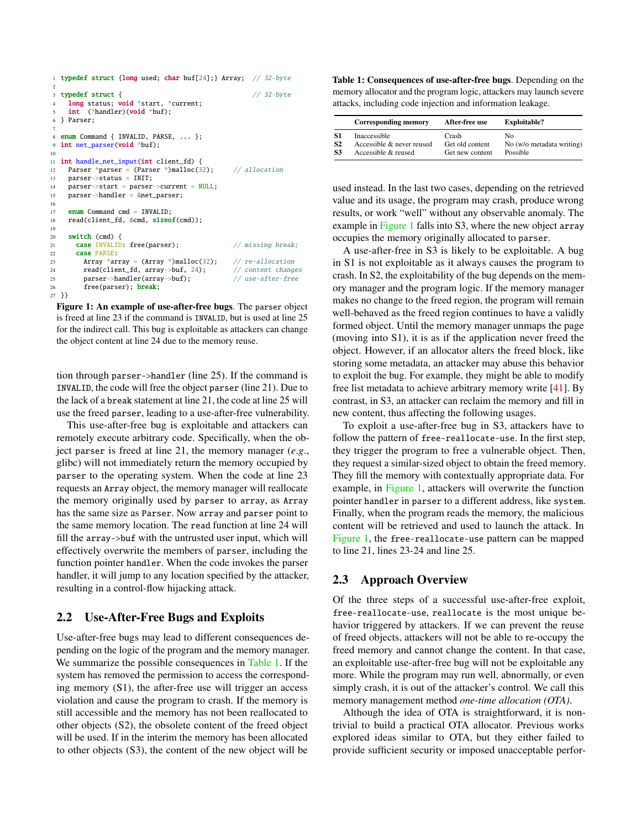```
1 typedef struct {long used; char buf[24];} Array; // 32-byte
 2
3 typedef struct { // 32-byte
     .<br>long status; void *start, *current;
    int (*handler)(void *buf);
 6 } Parser;
 <sup>7</sup> enum Command { INVALID, PARSE, ... };
9 int net_parser(void *buf);
10
11 int handle_net_input(int client_fd) {
12 Parser *parser = (Parser *)malloc(32); // allocation
13 parser->status = INIT;
14 parser->start = parser->current = NULL;
15 parser->handler = &net_parser;
16
17 enum Command cmd = INVALID;
18 read(client_fd, &cmd, sizeof(cmd));
19
20 switch (cmd) {
21 case INVALID: free(parser); // missing break;
22 case PARSE:
23 Array *array = (Array *)malloc(32); // re-allocation<br>24 read(client_fd, array->buf, 24); // content changes
24 read(client_fd, array->buf, 24);
25 parser->handler(array->buf); // use-after-free
26 free(parser); break;
27 }}
```
Figure 1: An example of use-after-free bugs. The parser object is freed at line 23 if the command is INVALID, but is used at line 25 for the indirect call. This bug is exploitable as attackers can change the object content at line 24 due to the memory reuse.

tion through parser->handler (line 25). If the command is INVALID, the code will free the object parser (line 21). Due to the lack of a break statement at line 21, the code at line 25 will use the freed parser, leading to a use-after-free vulnerability.

This use-after-free bug is exploitable and attackers can remotely execute arbitrary code. Specifically, when the object parser is freed at line 21, the memory manager (*e*.*g*., glibc) will not immediately return the memory occupied by parser to the operating system. When the code at line 23 requests an Array object, the memory manager will reallocate the memory originally used by parser to array, as Array has the same size as Parser. Now array and parser point to the same memory location. The read function at line 24 will fill the array->buf with the untrusted user input, which will effectively overwrite the members of parser, including the function pointer handler. When the code invokes the parser handler, it will jump to any location specified by the attacker, resulting in a control-flow hijacking attack.

#### 2.2 Use-After-Free Bugs and Exploits

Use-after-free bugs may lead to different consequences depending on the logic of the program and the memory manager. We summarize the possible consequences in [Table 1.](#page-2-1) If the system has removed the permission to access the corresponding memory (S1), the after-free use will trigger an access violation and cause the program to crash. If the memory is still accessible and the memory has not been reallocated to other objects (S2), the obsolete content of the freed object will be used. If in the interim the memory has been allocated to other objects (S3), the content of the new object will be

<span id="page-2-1"></span>Table 1: Consequences of use-after-free bugs. Depending on the memory allocator and the program logic, attackers may launch severe attacks, including code injection and information leakage.

|    | <b>Corresponding memory</b> | After-free use  | <b>Exploitable?</b>       |
|----|-----------------------------|-----------------|---------------------------|
| S1 | Inaccessible                | Crash           | No                        |
| S2 | Accessible & never reused   | Get old content | No (w/o metadata writing) |
| S3 | Accessible & reused         | Get new content | Possible                  |

used instead. In the last two cases, depending on the retrieved value and its usage, the program may crash, produce wrong results, or work "well" without any observable anomaly. The example in [Figure 1](#page-2-0) falls into S3, where the new object array occupies the memory originally allocated to parser.

A use-after-free in S3 is likely to be exploitable. A bug in S1 is not exploitable as it always causes the program to crash. In S2, the exploitability of the bug depends on the memory manager and the program logic. If the memory manager makes no change to the freed region, the program will remain well-behaved as the freed region continues to have a validly formed object. Until the memory manager unmaps the page (moving into S1), it is as if the application never freed the object. However, if an allocator alters the freed block, like storing some metadata, an attacker may abuse this behavior to exploit the bug. For example, they might be able to modify free list metadata to achieve arbitrary memory write [\[41\]](#page-15-13). By contrast, in S3, an attacker can reclaim the memory and fill in new content, thus affecting the following usages.

To exploit a use-after-free bug in S3, attackers have to follow the pattern of free-reallocate-use. In the first step, they trigger the program to free a vulnerable object. Then, they request a similar-sized object to obtain the freed memory. They fill the memory with contextually appropriate data. For example, in [Figure 1,](#page-2-0) attackers will overwrite the function pointer handler in parser to a different address, like system. Finally, when the program reads the memory, the malicious content will be retrieved and used to launch the attack. In [Figure 1,](#page-2-0) the free-reallocate-use pattern can be mapped to line 21, lines 23-24 and line 25.

#### 2.3 Approach Overview

Of the three steps of a successful use-after-free exploit, free-reallocate-use, reallocate is the most unique behavior triggered by attackers. If we can prevent the reuse of freed objects, attackers will not be able to re-occupy the freed memory and cannot change the content. In that case, an exploitable use-after-free bug will not be exploitable any more. While the program may run well, abnormally, or even simply crash, it is out of the attacker's control. We call this memory management method *one-time allocation (OTA)*.

Although the idea of OTA is straightforward, it is nontrivial to build a practical OTA allocator. Previous works explored ideas similar to OTA, but they either failed to provide sufficient security or imposed unacceptable perfor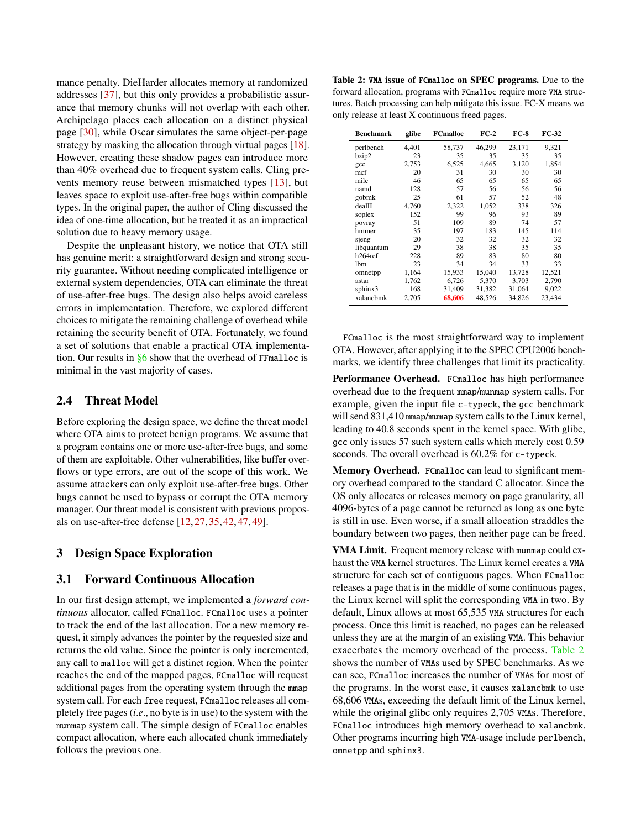mance penalty. DieHarder allocates memory at randomized addresses [\[37\]](#page-15-14), but this only provides a probabilistic assurance that memory chunks will not overlap with each other. Archipelago places each allocation on a distinct physical page [\[30\]](#page-15-15), while Oscar simulates the same object-per-page strategy by masking the allocation through virtual pages [\[18\]](#page-15-5). However, creating these shadow pages can introduce more than 40% overhead due to frequent system calls. Cling prevents memory reuse between mismatched types [\[13\]](#page-15-16), but leaves space to exploit use-after-free bugs within compatible types. In the original paper, the author of Cling discussed the idea of one-time allocation, but he treated it as an impractical solution due to heavy memory usage.

Despite the unpleasant history, we notice that OTA still has genuine merit: a straightforward design and strong security guarantee. Without needing complicated intelligence or external system dependencies, OTA can eliminate the threat of use-after-free bugs. The design also helps avoid careless errors in implementation. Therefore, we explored different choices to mitigate the remaining challenge of overhead while retaining the security benefit of OTA. Fortunately, we found a set of solutions that enable a practical OTA implementation. Our results in  $§6$  show that the overhead of FFmalloc is minimal in the vast majority of cases.

#### 2.4 Threat Model

Before exploring the design space, we define the threat model where OTA aims to protect benign programs. We assume that a program contains one or more use-after-free bugs, and some of them are exploitable. Other vulnerabilities, like buffer overflows or type errors, are out of the scope of this work. We assume attackers can only exploit use-after-free bugs. Other bugs cannot be used to bypass or corrupt the OTA memory manager. Our threat model is consistent with previous proposals on use-after-free defense [\[12,](#page-15-6) [27,](#page-15-1) [35,](#page-15-3) [42,](#page-15-8) [47,](#page-16-1) [49\]](#page-16-2).

# 3 Design Space Exploration

#### 3.1 Forward Continuous Allocation

In our first design attempt, we implemented a *forward continuous* allocator, called FCmalloc. FCmalloc uses a pointer to track the end of the last allocation. For a new memory request, it simply advances the pointer by the requested size and returns the old value. Since the pointer is only incremented, any call to malloc will get a distinct region. When the pointer reaches the end of the mapped pages, FCmalloc will request additional pages from the operating system through the mmap system call. For each free request, FCmalloc releases all completely free pages (*i*.*e*., no byte is in use) to the system with the munmap system call. The simple design of FCmalloc enables compact allocation, where each allocated chunk immediately follows the previous one.

<span id="page-3-0"></span>Table 2: VMA issue of FCmalloc on SPEC programs. Due to the forward allocation, programs with FCmalloc require more VMA structures. Batch processing can help mitigate this issue. FC-X means we only release at least X continuous freed pages.

| <b>Benchmark</b> | glibc | <b>FCmalloc</b> | $FC-2$ | $FC-8$ | FC-32  |
|------------------|-------|-----------------|--------|--------|--------|
| perlbench        | 4,401 | 58,737          | 46,299 | 23,171 | 9,321  |
| bzip2            | 23    | 35              | 35     | 35     | 35     |
| gcc              | 2.753 | 6.525           | 4.665  | 3.120  | 1,854  |
| mcf              | 20    | 31              | 30     | 30     | 30     |
| milc             | 46    | 65              | 65     | 65     | 65     |
| namd             | 128   | 57              | 56     | 56     | 56     |
| gobmk            | 25    | 61              | 57     | 52     | 48     |
| dealII           | 4,760 | 2.322           | 1,052  | 338    | 326    |
| soplex           | 152   | 99              | 96     | 93     | 89     |
| povray           | 51    | 109             | 89     | 74     | 57     |
| hmmer            | 35    | 197             | 183    | 145    | 114    |
| sjeng            | 20    | 32              | 32     | 32     | 32     |
| libquantum       | 29    | 38              | 38     | 35     | 35     |
| h264ref          | 228   | 89              | 83     | 80     | 80     |
| 1 <sub>bm</sub>  | 23    | 34              | 34     | 33     | 33     |
| omnetpp          | 1,164 | 15,933          | 15,040 | 13,728 | 12,521 |
| astar            | 1.762 | 6.726           | 5.370  | 3.703  | 2,790  |
| sphinx3          | 168   | 31,409          | 31,382 | 31,064 | 9,022  |
| xalancbmk        | 2,705 | 68,606          | 48.526 | 34.826 | 23,434 |

FCmalloc is the most straightforward way to implement OTA. However, after applying it to the SPEC CPU2006 benchmarks, we identify three challenges that limit its practicality.

Performance Overhead. FCmalloc has high performance overhead due to the frequent mmap/munmap system calls. For example, given the input file c-typeck, the gcc benchmark will send 831,410 mmap/mumap system calls to the Linux kernel, leading to 40.8 seconds spent in the kernel space. With glibc, gcc only issues 57 such system calls which merely cost 0.59 seconds. The overall overhead is 60.2% for c-typeck.

Memory Overhead. FCmalloc can lead to significant memory overhead compared to the standard C allocator. Since the OS only allocates or releases memory on page granularity, all 4096-bytes of a page cannot be returned as long as one byte is still in use. Even worse, if a small allocation straddles the boundary between two pages, then neither page can be freed.

VMA Limit. Frequent memory release with munmap could exhaust the VMA kernel structures. The Linux kernel creates a VMA structure for each set of contiguous pages. When FCmalloc releases a page that is in the middle of some continuous pages, the Linux kernel will split the corresponding VMA in two. By default, Linux allows at most 65,535 VMA structures for each process. Once this limit is reached, no pages can be released unless they are at the margin of an existing VMA. This behavior exacerbates the memory overhead of the process. [Table 2](#page-3-0) shows the number of VMAs used by SPEC benchmarks. As we can see, FCmalloc increases the number of VMAs for most of the programs. In the worst case, it causes xalancbmk to use 68,606 VMAs, exceeding the default limit of the Linux kernel, while the original glibc only requires 2,705 VMAs. Therefore, FCmalloc introduces high memory overhead to xalancbmk. Other programs incurring high VMA-usage include perlbench, omnetpp and sphinx3.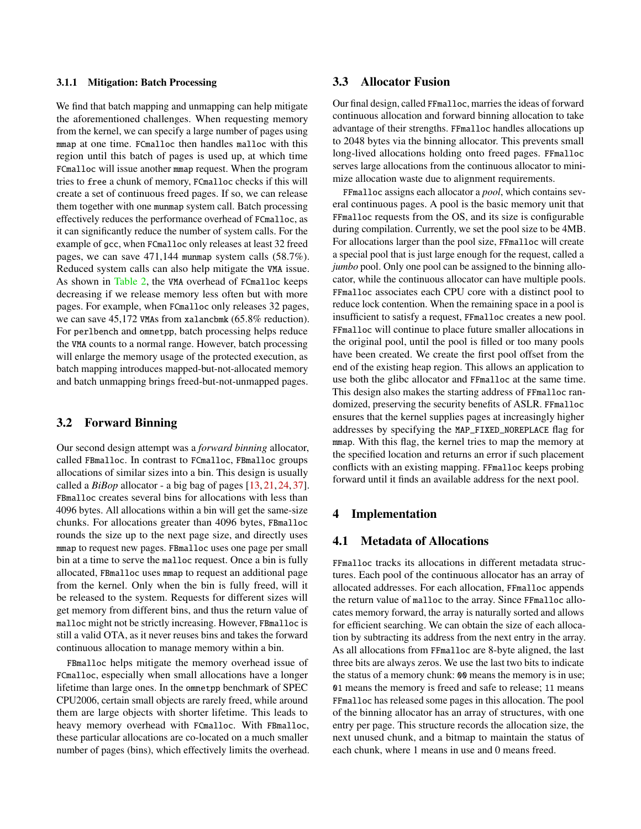#### 3.1.1 Mitigation: Batch Processing

We find that batch mapping and unmapping can help mitigate the aforementioned challenges. When requesting memory from the kernel, we can specify a large number of pages using mmap at one time. FCmalloc then handles malloc with this region until this batch of pages is used up, at which time FCmalloc will issue another mmap request. When the program tries to free a chunk of memory, FCmalloc checks if this will create a set of continuous freed pages. If so, we can release them together with one munmap system call. Batch processing effectively reduces the performance overhead of FCmalloc, as it can significantly reduce the number of system calls. For the example of gcc, when FCmalloc only releases at least 32 freed pages, we can save 471,144 munmap system calls (58.7%). Reduced system calls can also help mitigate the VMA issue. As shown in [Table 2,](#page-3-0) the VMA overhead of FCmalloc keeps decreasing if we release memory less often but with more pages. For example, when FCmalloc only releases 32 pages, we can save 45,172 VMAs from xalancbmk (65.8% reduction). For perlbench and omnetpp, batch processing helps reduce the VMA counts to a normal range. However, batch processing will enlarge the memory usage of the protected execution, as batch mapping introduces mapped-but-not-allocated memory and batch unmapping brings freed-but-not-unmapped pages.

#### 3.2 Forward Binning

Our second design attempt was a *forward binning* allocator, called FBmalloc. In contrast to FCmalloc, FBmalloc groups allocations of similar sizes into a bin. This design is usually called a *BiBop* allocator - a big bag of pages [\[13,](#page-15-16) [21,](#page-15-9) [24,](#page-15-10) [37\]](#page-15-14). FBmalloc creates several bins for allocations with less than 4096 bytes. All allocations within a bin will get the same-size chunks. For allocations greater than 4096 bytes, FBmalloc rounds the size up to the next page size, and directly uses mmap to request new pages. FBmalloc uses one page per small bin at a time to serve the malloc request. Once a bin is fully allocated, FBmalloc uses mmap to request an additional page from the kernel. Only when the bin is fully freed, will it be released to the system. Requests for different sizes will get memory from different bins, and thus the return value of malloc might not be strictly increasing. However, FBmalloc is still a valid OTA, as it never reuses bins and takes the forward continuous allocation to manage memory within a bin.

FBmalloc helps mitigate the memory overhead issue of FCmalloc, especially when small allocations have a longer lifetime than large ones. In the omnetpp benchmark of SPEC CPU2006, certain small objects are rarely freed, while around them are large objects with shorter lifetime. This leads to heavy memory overhead with FCmalloc. With FBmalloc, these particular allocations are co-located on a much smaller number of pages (bins), which effectively limits the overhead.

# 3.3 Allocator Fusion

Our final design, called FFmalloc, marries the ideas of forward continuous allocation and forward binning allocation to take advantage of their strengths. FFmalloc handles allocations up to 2048 bytes via the binning allocator. This prevents small long-lived allocations holding onto freed pages. FFmalloc serves large allocations from the continuous allocator to minimize allocation waste due to alignment requirements.

FFmalloc assigns each allocator a *pool*, which contains several continuous pages. A pool is the basic memory unit that FFmalloc requests from the OS, and its size is configurable during compilation. Currently, we set the pool size to be 4MB. For allocations larger than the pool size, FFmalloc will create a special pool that is just large enough for the request, called a *jumbo* pool. Only one pool can be assigned to the binning allocator, while the continuous allocator can have multiple pools. FFmalloc associates each CPU core with a distinct pool to reduce lock contention. When the remaining space in a pool is insufficient to satisfy a request, FFmalloc creates a new pool. FFmalloc will continue to place future smaller allocations in the original pool, until the pool is filled or too many pools have been created. We create the first pool offset from the end of the existing heap region. This allows an application to use both the glibc allocator and FFmalloc at the same time. This design also makes the starting address of FFmalloc randomized, preserving the security benefits of ASLR. FFmalloc ensures that the kernel supplies pages at increasingly higher addresses by specifying the MAP\_FIXED\_NOREPLACE flag for mmap. With this flag, the kernel tries to map the memory at the specified location and returns an error if such placement conflicts with an existing mapping. FFmalloc keeps probing forward until it finds an available address for the next pool.

## 4 Implementation

# 4.1 Metadata of Allocations

FFmalloc tracks its allocations in different metadata structures. Each pool of the continuous allocator has an array of allocated addresses. For each allocation, FFmalloc appends the return value of malloc to the array. Since FFmalloc allocates memory forward, the array is naturally sorted and allows for efficient searching. We can obtain the size of each allocation by subtracting its address from the next entry in the array. As all allocations from FFmalloc are 8-byte aligned, the last three bits are always zeros. We use the last two bits to indicate the status of a memory chunk: 00 means the memory is in use; 01 means the memory is freed and safe to release; 11 means FFmalloc has released some pages in this allocation. The pool of the binning allocator has an array of structures, with one entry per page. This structure records the allocation size, the next unused chunk, and a bitmap to maintain the status of each chunk, where 1 means in use and 0 means freed.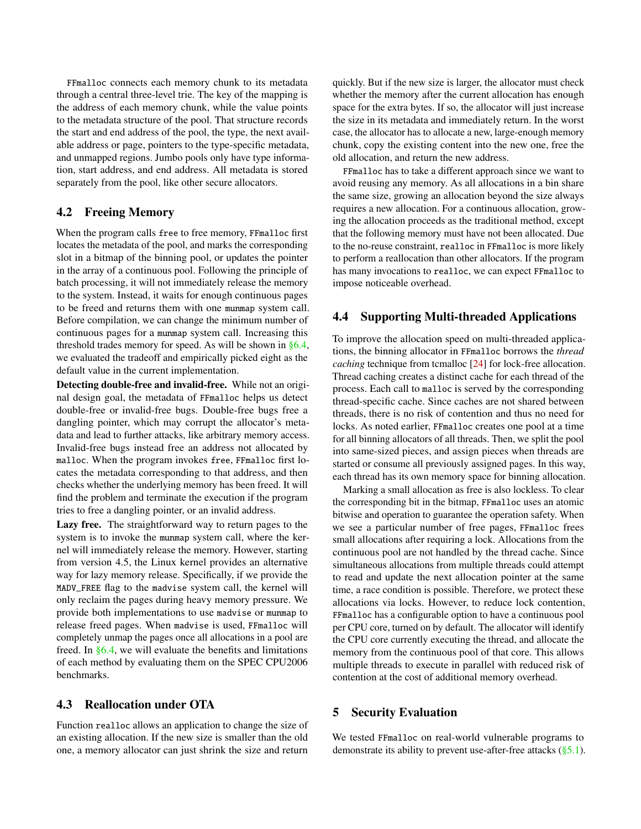FFmalloc connects each memory chunk to its metadata through a central three-level trie. The key of the mapping is the address of each memory chunk, while the value points to the metadata structure of the pool. That structure records the start and end address of the pool, the type, the next available address or page, pointers to the type-specific metadata, and unmapped regions. Jumbo pools only have type information, start address, and end address. All metadata is stored separately from the pool, like other secure allocators.

### <span id="page-5-0"></span>4.2 Freeing Memory

When the program calls free to free memory, FFmalloc first locates the metadata of the pool, and marks the corresponding slot in a bitmap of the binning pool, or updates the pointer in the array of a continuous pool. Following the principle of batch processing, it will not immediately release the memory to the system. Instead, it waits for enough continuous pages to be freed and returns them with one munmap system call. Before compilation, we can change the minimum number of continuous pages for a munmap system call. Increasing this threshold trades memory for speed. As will be shown in [§6.4,](#page-11-0) we evaluated the tradeoff and empirically picked eight as the default value in the current implementation.

Detecting double-free and invalid-free. While not an original design goal, the metadata of FFmalloc helps us detect double-free or invalid-free bugs. Double-free bugs free a dangling pointer, which may corrupt the allocator's metadata and lead to further attacks, like arbitrary memory access. Invalid-free bugs instead free an address not allocated by malloc. When the program invokes free, FFmalloc first locates the metadata corresponding to that address, and then checks whether the underlying memory has been freed. It will find the problem and terminate the execution if the program tries to free a dangling pointer, or an invalid address.

Lazy free. The straightforward way to return pages to the system is to invoke the munmap system call, where the kernel will immediately release the memory. However, starting from version 4.5, the Linux kernel provides an alternative way for lazy memory release. Specifically, if we provide the MADV\_FREE flag to the madvise system call, the kernel will only reclaim the pages during heavy memory pressure. We provide both implementations to use madvise or munmap to release freed pages. When madvise is used, FFmalloc will completely unmap the pages once all allocations in a pool are freed. In [§6.4,](#page-11-0) we will evaluate the benefits and limitations of each method by evaluating them on the SPEC CPU2006 benchmarks.

### 4.3 Reallocation under OTA

Function realloc allows an application to change the size of an existing allocation. If the new size is smaller than the old one, a memory allocator can just shrink the size and return

quickly. But if the new size is larger, the allocator must check whether the memory after the current allocation has enough space for the extra bytes. If so, the allocator will just increase the size in its metadata and immediately return. In the worst case, the allocator has to allocate a new, large-enough memory chunk, copy the existing content into the new one, free the old allocation, and return the new address.

FFmalloc has to take a different approach since we want to avoid reusing any memory. As all allocations in a bin share the same size, growing an allocation beyond the size always requires a new allocation. For a continuous allocation, growing the allocation proceeds as the traditional method, except that the following memory must have not been allocated. Due to the no-reuse constraint, realloc in FFmalloc is more likely to perform a reallocation than other allocators. If the program has many invocations to realloc, we can expect FFmalloc to impose noticeable overhead.

# 4.4 Supporting Multi-threaded Applications

To improve the allocation speed on multi-threaded applications, the binning allocator in FFmalloc borrows the *thread caching* technique from tcmalloc [\[24\]](#page-15-10) for lock-free allocation. Thread caching creates a distinct cache for each thread of the process. Each call to malloc is served by the corresponding thread-specific cache. Since caches are not shared between threads, there is no risk of contention and thus no need for locks. As noted earlier, FFmalloc creates one pool at a time for all binning allocators of all threads. Then, we split the pool into same-sized pieces, and assign pieces when threads are started or consume all previously assigned pages. In this way, each thread has its own memory space for binning allocation.

Marking a small allocation as free is also lockless. To clear the corresponding bit in the bitmap, FFmalloc uses an atomic bitwise and operation to guarantee the operation safety. When we see a particular number of free pages, FFmalloc frees small allocations after requiring a lock. Allocations from the continuous pool are not handled by the thread cache. Since simultaneous allocations from multiple threads could attempt to read and update the next allocation pointer at the same time, a race condition is possible. Therefore, we protect these allocations via locks. However, to reduce lock contention, FFmalloc has a configurable option to have a continuous pool per CPU core, turned on by default. The allocator will identify the CPU core currently executing the thread, and allocate the memory from the continuous pool of that core. This allows multiple threads to execute in parallel with reduced risk of contention at the cost of additional memory overhead.

### 5 Security Evaluation

We tested FFmalloc on real-world vulnerable programs to demonstrate its ability to prevent use-after-free attacks [\(§5.1\)](#page-6-0).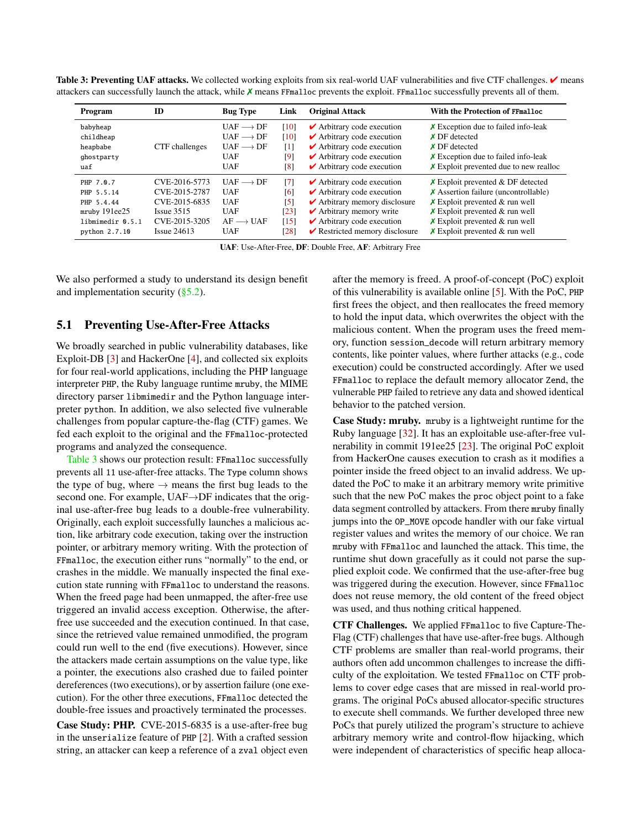<span id="page-6-1"></span>

| Table 3: Preventing UAF attacks. We collected working exploits from six real-world UAF vulnerabilities and five CTF challenges. $\checkmark$ means |
|----------------------------------------------------------------------------------------------------------------------------------------------------|
| attackers can successfully launch the attack, while $X$ means FFmalloc prevents the exploit. FFmalloc successfully prevents all of them.           |

| ID<br>Program        |                | <b>Bug Type</b>           | Link              | <b>Original Attack</b>                            | With the Protection of FFmalloc             |  |  |
|----------------------|----------------|---------------------------|-------------------|---------------------------------------------------|---------------------------------------------|--|--|
| babyheap             |                | $UAF \longrightarrow DF$  | [10]              | $\blacktriangleright$ Arbitrary code execution    | $\chi$ Exception due to failed info-leak    |  |  |
| childheap            |                | $UAF \longrightarrow DF$  | [10]              | $\blacktriangleright$ Arbitrary code execution    | $\times$ DF detected                        |  |  |
| heapbabe             | CTF challenges | $UAF \longrightarrow DF$  | $\lceil 1 \rceil$ | $\blacktriangleright$ Arbitrary code execution    | $X$ DF detected                             |  |  |
| ghostparty           |                | <b>UAF</b>                | [9]               | $\blacktriangleright$ Arbitrary code execution    | $\chi$ Exception due to failed info-leak    |  |  |
| uaf                  |                | <b>UAF</b>                | $\lceil 8 \rceil$ | $\blacktriangleright$ Arbitrary code execution    | $\chi$ Exploit prevented due to new realloc |  |  |
| PHP 7.0.7            | CVE-2016-5773  | $UAF \longrightarrow DF$  | $\lceil 7 \rceil$ | $\blacktriangleright$ Arbitrary code execution    | $\chi$ Exploit prevented & DF detected      |  |  |
| PHP 5.5.14           | CVE-2015-2787  | <b>UAF</b>                | [6]               | $\blacktriangleright$ Arbitrary code execution    | $\chi$ Assertion failure (uncontrollable)   |  |  |
| PHP 5.4.44           | CVE-2015-6835  | <b>UAF</b>                | [5]               | $\blacktriangleright$ Arbitrary memory disclosure | $\chi$ Exploit prevented & run well         |  |  |
| $m$ ruby 191 $ee$ 25 | $Issue$ 3515   | <b>UAF</b>                | [23]              | $\blacktriangleright$ Arbitrary memory write      | $\times$ Exploit prevented & run well       |  |  |
| libmimedir 0.5.1     | CVE-2015-3205  | $AF \longrightarrow IJAF$ | [15]              | $\blacktriangleright$ Arbitrary code execution    | $\times$ Exploit prevented & run well       |  |  |
| python 2.7.10        | Issue 24613    | <b>UAF</b>                | [28]              | $\triangleright$ Restricted memory disclosure     | $X$ Exploit prevented & run well            |  |  |

UAF: Use-After-Free, DF: Double Free, AF: Arbitrary Free

We also performed a study to understand its design benefit and implementation security  $(\S 5.2)$ .

#### <span id="page-6-0"></span>5.1 Preventing Use-After-Free Attacks

We broadly searched in public vulnerability databases, like Exploit-DB [\[3\]](#page-15-26) and HackerOne [\[4\]](#page-15-27), and collected six exploits for four real-world applications, including the PHP language interpreter PHP, the Ruby language runtime mruby, the MIME directory parser libmimedir and the Python language interpreter python. In addition, we also selected five vulnerable challenges from popular capture-the-flag (CTF) games. We fed each exploit to the original and the FFmalloc-protected programs and analyzed the consequence.

[Table 3](#page-6-1) shows our protection result: FFmalloc successfully prevents all 11 use-after-free attacks. The Type column shows the type of bug, where  $\rightarrow$  means the first bug leads to the second one. For example, UAF→DF indicates that the original use-after-free bug leads to a double-free vulnerability. Originally, each exploit successfully launches a malicious action, like arbitrary code execution, taking over the instruction pointer, or arbitrary memory writing. With the protection of FFmalloc, the execution either runs "normally" to the end, or crashes in the middle. We manually inspected the final execution state running with FFmalloc to understand the reasons. When the freed page had been unmapped, the after-free use triggered an invalid access exception. Otherwise, the afterfree use succeeded and the execution continued. In that case, since the retrieved value remained unmodified, the program could run well to the end (five executions). However, since the attackers made certain assumptions on the value type, like a pointer, the executions also crashed due to failed pointer dereferences (two executions), or by assertion failure (one execution). For the other three executions, FFmalloc detected the double-free issues and proactively terminated the processes.

Case Study: PHP. CVE-2015-6835 is a use-after-free bug in the unserialize feature of PHP [\[2\]](#page-14-1). With a crafted session string, an attacker can keep a reference of a zval object even

after the memory is freed. A proof-of-concept (PoC) exploit of this vulnerability is available online [\[5\]](#page-15-22). With the PoC, PHP first frees the object, and then reallocates the freed memory to hold the input data, which overwrites the object with the malicious content. When the program uses the freed memory, function session\_decode will return arbitrary memory contents, like pointer values, where further attacks (e.g., code execution) could be constructed accordingly. After we used FFmalloc to replace the default memory allocator Zend, the vulnerable PHP failed to retrieve any data and showed identical behavior to the patched version.

Case Study: mruby. mruby is a lightweight runtime for the Ruby language [\[32\]](#page-15-28). It has an exploitable use-after-free vulnerability in commit 191ee25 [\[23\]](#page-15-23). The original PoC exploit from HackerOne causes execution to crash as it modifies a pointer inside the freed object to an invalid address. We updated the PoC to make it an arbitrary memory write primitive such that the new PoC makes the proc object point to a fake data segment controlled by attackers. From there mruby finally jumps into the OP\_MOVE opcode handler with our fake virtual register values and writes the memory of our choice. We ran mruby with FFmalloc and launched the attack. This time, the runtime shut down gracefully as it could not parse the supplied exploit code. We confirmed that the use-after-free bug was triggered during the execution. However, since FFmalloc does not reuse memory, the old content of the freed object was used, and thus nothing critical happened.

CTF Challenges. We applied FFmalloc to five Capture-The-Flag (CTF) challenges that have use-after-free bugs. Although CTF problems are smaller than real-world programs, their authors often add uncommon challenges to increase the difficulty of the exploitation. We tested FFmalloc on CTF problems to cover edge cases that are missed in real-world programs. The original PoCs abused allocator-specific structures to execute shell commands. We further developed three new PoCs that purely utilized the program's structure to achieve arbitrary memory write and control-flow hijacking, which were independent of characteristics of specific heap alloca-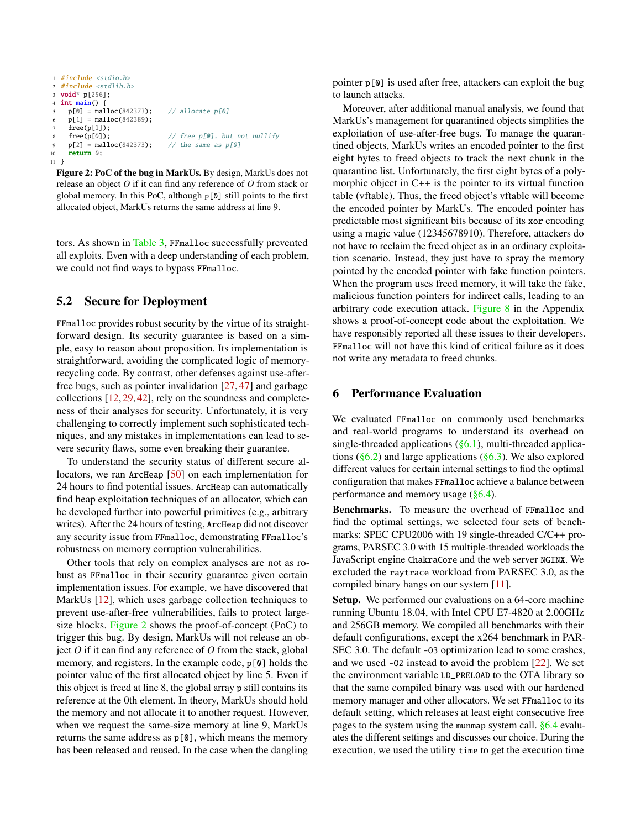```
1 #include <stdio.h>
2 #include <stdlib.h>
 3 void* p[256];
 4 int main() \overline{\{}p[0] = \text{malloc}(842373); // allocate p[0]p[1] = \text{malloc}(842389);free(p[1]);
            {\sf free(p[0])}; \qquad \qquad \qquad \text{\textit{if}}\ \qquad \qquad \text{\textit{if}}\ \qquad \qquad \text{\textit{if}}\ \qquad \qquad \text{\textit{if}}\ \qquad \qquad \text{\textit{if}}\ \qquad \qquad \text{\textit{if}}\ \qquad \qquad \text{\textit{if}}\ \qquad \qquad \text{\textit{if}}\ \qquad \qquad \text{\textit{if}}\ \qquad \qquad \text{\textit{if}}\ \qquad \qquad \text{\textit{if}}\ \qquad \qquad \text{\textit{if}}\ \qquad \qquad \text{\textit{if}}\ \qquad \qquad \text{\textp[2] = \text{malloc}(842373); // the same as p[0]10 return 0;
11 }
```
Figure 2: PoC of the bug in MarkUs. By design, MarkUs does not release an object *O* if it can find any reference of *O* from stack or global memory. In this PoC, although p[0] still points to the first allocated object, MarkUs returns the same address at line 9.

tors. As shown in [Table 3,](#page-6-1) FFmalloc successfully prevented all exploits. Even with a deep understanding of each problem, we could not find ways to bypass FFmalloc.

### <span id="page-7-1"></span>5.2 Secure for Deployment

FFmalloc provides robust security by the virtue of its straightforward design. Its security guarantee is based on a simple, easy to reason about proposition. Its implementation is straightforward, avoiding the complicated logic of memoryrecycling code. By contrast, other defenses against use-afterfree bugs, such as pointer invalidation [\[27,](#page-15-1) [47\]](#page-16-1) and garbage collections [\[12,](#page-15-6) [29,](#page-15-7) [42\]](#page-15-8), rely on the soundness and completeness of their analyses for security. Unfortunately, it is very challenging to correctly implement such sophisticated techniques, and any mistakes in implementations can lead to severe security flaws, some even breaking their guarantee.

To understand the security status of different secure al-locators, we ran ArcHeap [\[50\]](#page-16-5) on each implementation for 24 hours to find potential issues. ArcHeap can automatically find heap exploitation techniques of an allocator, which can be developed further into powerful primitives (e.g., arbitrary writes). After the 24 hours of testing, ArcHeap did not discover any security issue from FFmalloc, demonstrating FFmalloc's robustness on memory corruption vulnerabilities.

Other tools that rely on complex analyses are not as robust as FFmalloc in their security guarantee given certain implementation issues. For example, we have discovered that MarkUs [\[12\]](#page-15-6), which uses garbage collection techniques to prevent use-after-free vulnerabilities, fails to protect largesize blocks. [Figure 2](#page-7-2) shows the proof-of-concept (PoC) to trigger this bug. By design, MarkUs will not release an object *O* if it can find any reference of *O* from the stack, global memory, and registers. In the example code, p[0] holds the pointer value of the first allocated object by line 5. Even if this object is freed at line 8, the global array p still contains its reference at the 0th element. In theory, MarkUs should hold the memory and not allocate it to another request. However, when we request the same-size memory at line 9, MarkUs returns the same address as p[0], which means the memory has been released and reused. In the case when the dangling

pointer p[0] is used after free, attackers can exploit the bug to launch attacks.

Moreover, after additional manual analysis, we found that MarkUs's management for quarantined objects simplifies the exploitation of use-after-free bugs. To manage the quarantined objects, MarkUs writes an encoded pointer to the first eight bytes to freed objects to track the next chunk in the quarantine list. Unfortunately, the first eight bytes of a polymorphic object in C++ is the pointer to its virtual function table (vftable). Thus, the freed object's vftable will become the encoded pointer by MarkUs. The encoded pointer has predictable most significant bits because of its xor encoding using a magic value (12345678910). Therefore, attackers do not have to reclaim the freed object as in an ordinary exploitation scenario. Instead, they just have to spray the memory pointed by the encoded pointer with fake function pointers. When the program uses freed memory, it will take the fake, malicious function pointers for indirect calls, leading to an arbitrary code execution attack. [Figure 8](#page-17-0) in the Appendix shows a proof-of-concept code about the exploitation. We have responsibly reported all these issues to their developers. FFmalloc will not have this kind of critical failure as it does not write any metadata to freed chunks.

# <span id="page-7-0"></span>6 Performance Evaluation

We evaluated FFmalloc on commonly used benchmarks and real-world programs to understand its overhead on single-threaded applications  $(\S6.1)$ , multi-threaded applications ( $\S 6.2$ ) and large applications ( $\S 6.3$ ). We also explored different values for certain internal settings to find the optimal configuration that makes FFmalloc achieve a balance between performance and memory usage  $(\S6.4)$ .

Benchmarks. To measure the overhead of FFmalloc and find the optimal settings, we selected four sets of benchmarks: SPEC CPU2006 with 19 single-threaded C/C++ programs, PARSEC 3.0 with 15 multiple-threaded workloads the JavaScript engine ChakraCore and the web server NGINX. We excluded the raytrace workload from PARSEC 3.0, as the compiled binary hangs on our system [\[11\]](#page-15-29).

Setup. We performed our evaluations on a 64-core machine running Ubuntu 18.04, with Intel CPU E7-4820 at 2.00GHz and 256GB memory. We compiled all benchmarks with their default configurations, except the x264 benchmark in PAR-SEC 3.0. The default -03 optimization lead to some crashes, and we used -O2 instead to avoid the problem [\[22\]](#page-15-30). We set the environment variable LD\_PRELOAD to the OTA library so that the same compiled binary was used with our hardened memory manager and other allocators. We set FFmalloc to its default setting, which releases at least eight consecutive free pages to the system using the munmap system call. [§6.4](#page-11-0) evaluates the different settings and discusses our choice. During the execution, we used the utility time to get the execution time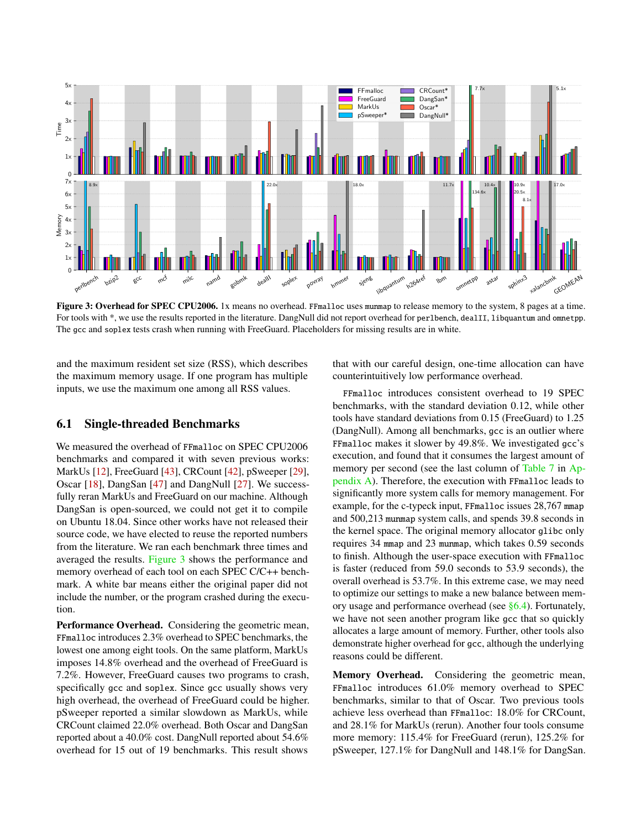<span id="page-8-1"></span>

Figure 3: Overhead for SPEC CPU2006. 1x means no overhead. FFmalloc uses munmap to release memory to the system, 8 pages at a time. For tools with \*, we use the results reported in the literature. DangNull did not report overhead for perlbench, dealII, libquantum and omnetpp. The gcc and soplex tests crash when running with FreeGuard. Placeholders for missing results are in white.

and the maximum resident set size (RSS), which describes the maximum memory usage. If one program has multiple inputs, we use the maximum one among all RSS values.

#### <span id="page-8-0"></span>6.1 Single-threaded Benchmarks

We measured the overhead of FFmalloc on SPEC CPU2006 benchmarks and compared it with seven previous works: MarkUs [\[12\]](#page-15-6), FreeGuard [\[43\]](#page-16-6), CRCount [\[42\]](#page-15-8), pSweeper [\[29\]](#page-15-7), Oscar [\[18\]](#page-15-5), DangSan [\[47\]](#page-16-1) and DangNull [\[27\]](#page-15-1). We successfully reran MarkUs and FreeGuard on our machine. Although DangSan is open-sourced, we could not get it to compile on Ubuntu 18.04. Since other works have not released their source code, we have elected to reuse the reported numbers from the literature. We ran each benchmark three times and averaged the results. [Figure 3](#page-8-1) shows the performance and memory overhead of each tool on each SPEC C/C++ benchmark. A white bar means either the original paper did not include the number, or the program crashed during the execution.

Performance Overhead. Considering the geometric mean, FFmalloc introduces 2.3% overhead to SPEC benchmarks, the lowest one among eight tools. On the same platform, MarkUs imposes 14.8% overhead and the overhead of FreeGuard is 7.2%. However, FreeGuard causes two programs to crash, specifically gcc and soplex. Since gcc usually shows very high overhead, the overhead of FreeGuard could be higher. pSweeper reported a similar slowdown as MarkUs, while CRCount claimed 22.0% overhead. Both Oscar and DangSan reported about a 40.0% cost. DangNull reported about 54.6% overhead for 15 out of 19 benchmarks. This result shows

that with our careful design, one-time allocation can have counterintuitively low performance overhead.

FFmalloc introduces consistent overhead to 19 SPEC benchmarks, with the standard deviation 0.12, while other tools have standard deviations from 0.15 (FreeGuard) to 1.25 (DangNull). Among all benchmarks, gcc is an outlier where FFmalloc makes it slower by 49.8%. We investigated gcc's execution, and found that it consumes the largest amount of memory per second (see the last column of [Table 7](#page-17-1) in [Ap](#page-17-2)[pendix A\)](#page-17-2). Therefore, the execution with FFmalloc leads to significantly more system calls for memory management. For example, for the c-typeck input, FFmalloc issues 28,767 mmap and 500,213 munmap system calls, and spends 39.8 seconds in the kernel space. The original memory allocator glibc only requires 34 mmap and 23 munmap, which takes 0.59 seconds to finish. Although the user-space execution with FFmalloc is faster (reduced from 59.0 seconds to 53.9 seconds), the overall overhead is 53.7%. In this extreme case, we may need to optimize our settings to make a new balance between memory usage and performance overhead (see [§6.4\)](#page-11-0). Fortunately, we have not seen another program like gcc that so quickly allocates a large amount of memory. Further, other tools also demonstrate higher overhead for gcc, although the underlying reasons could be different.

Memory Overhead. Considering the geometric mean, FFmalloc introduces 61.0% memory overhead to SPEC benchmarks, similar to that of Oscar. Two previous tools achieve less overhead than FFmalloc: 18.0% for CRCount, and 28.1% for MarkUs (rerun). Another four tools consume more memory: 115.4% for FreeGuard (rerun), 125.2% for pSweeper, 127.1% for DangNull and 148.1% for DangSan.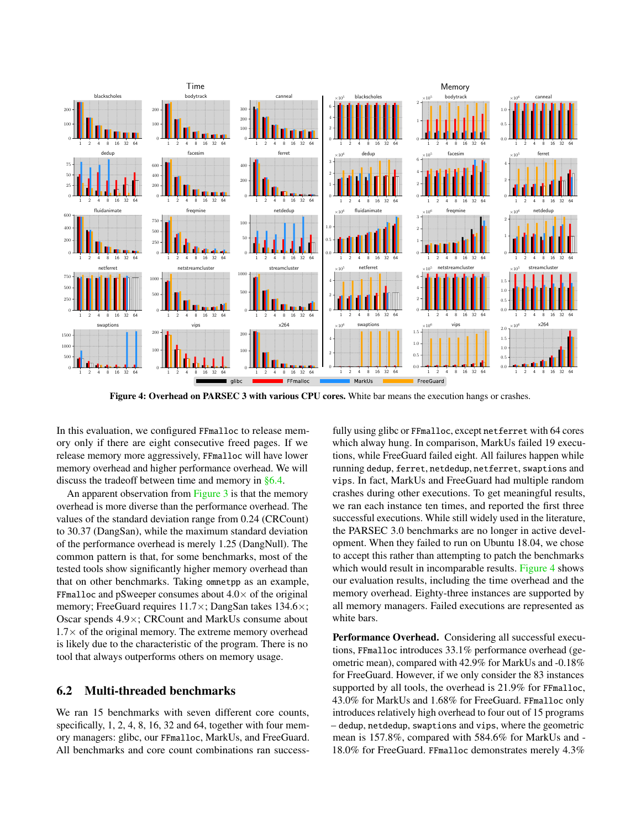<span id="page-9-1"></span>

Figure 4: Overhead on PARSEC 3 with various CPU cores. White bar means the execution hangs or crashes.

In this evaluation, we configured FFmalloc to release memory only if there are eight consecutive freed pages. If we release memory more aggressively, FFmalloc will have lower memory overhead and higher performance overhead. We will discuss the tradeoff between time and memory in [§6.4.](#page-11-0)

An apparent observation from [Figure 3](#page-8-1) is that the memory overhead is more diverse than the performance overhead. The values of the standard deviation range from 0.24 (CRCount) to 30.37 (DangSan), while the maximum standard deviation of the performance overhead is merely 1.25 (DangNull). The common pattern is that, for some benchmarks, most of the tested tools show significantly higher memory overhead than that on other benchmarks. Taking omnetpp as an example, FFmalloc and pSweeper consumes about  $4.0\times$  of the original memory; FreeGuard requires 11.7×; DangSan takes 134.6×; Oscar spends 4.9×; CRCount and MarkUs consume about  $1.7\times$  of the original memory. The extreme memory overhead is likely due to the characteristic of the program. There is no tool that always outperforms others on memory usage.

# <span id="page-9-0"></span>6.2 Multi-threaded benchmarks

We ran 15 benchmarks with seven different core counts, specifically, 1, 2, 4, 8, 16, 32 and 64, together with four memory managers: glibc, our FFmalloc, MarkUs, and FreeGuard. All benchmarks and core count combinations ran success-

fully using glibc or FFmalloc, except netferret with 64 cores which alway hung. In comparison, MarkUs failed 19 executions, while FreeGuard failed eight. All failures happen while running dedup, ferret, netdedup, netferret, swaptions and vips. In fact, MarkUs and FreeGuard had multiple random crashes during other executions. To get meaningful results, we ran each instance ten times, and reported the first three successful executions. While still widely used in the literature, the PARSEC 3.0 benchmarks are no longer in active development. When they failed to run on Ubuntu 18.04, we chose to accept this rather than attempting to patch the benchmarks which would result in incomparable results. [Figure 4](#page-9-1) shows our evaluation results, including the time overhead and the memory overhead. Eighty-three instances are supported by all memory managers. Failed executions are represented as white bars.

Performance Overhead. Considering all successful executions, FFmalloc introduces 33.1% performance overhead (geometric mean), compared with 42.9% for MarkUs and -0.18% for FreeGuard. However, if we only consider the 83 instances supported by all tools, the overhead is 21.9% for FFmalloc, 43.0% for MarkUs and 1.68% for FreeGuard. FFmalloc only introduces relatively high overhead to four out of 15 programs – dedup, netdedup, swaptions and vips, where the geometric mean is 157.8%, compared with 584.6% for MarkUs and - 18.0% for FreeGuard. FFmalloc demonstrates merely 4.3%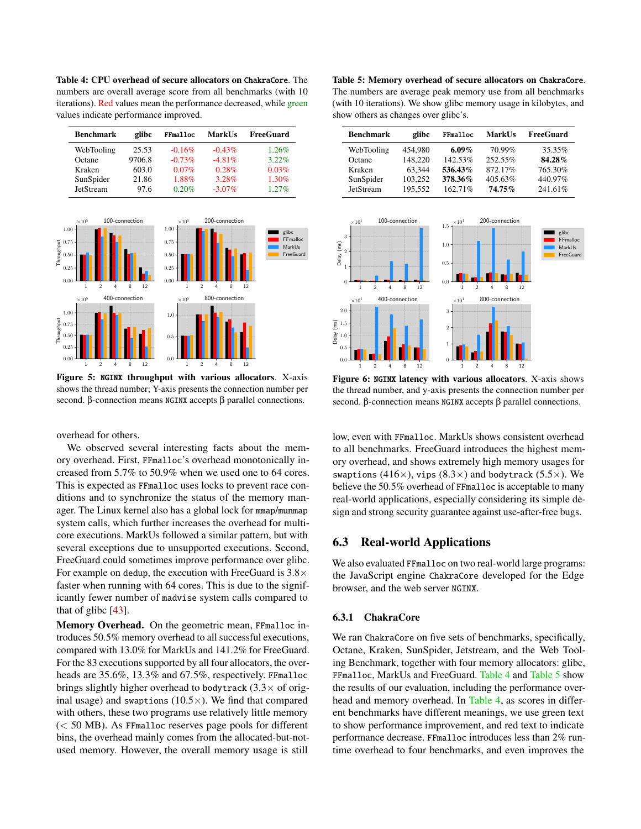<span id="page-10-1"></span>Table 4: CPU overhead of secure allocators on ChakraCore. The numbers are overall average score from all benchmarks (with 10 iterations). Red values mean the performance decreased, while green values indicate performance improved.

| <b>Benchmark</b> | glibc  | FFmalloc | <b>MarkUs</b> | <b>FreeGuard</b> |
|------------------|--------|----------|---------------|------------------|
| WebTooling       | 25.53  | $-0.16%$ | $-0.43%$      | 1.26%            |
| Octane           | 9706.8 | $-0.73%$ | $-4.81%$      | 3.22%            |
| Kraken           | 603.0  | $0.07\%$ | 0.28%         | 0.03%            |
| SunSpider        | 21.86  | 1.88%    | $3.28\%$      | 1.30%            |
| JetStream        | 97.6   | 0.20%    | $-3.07\%$     | 1.27%            |

<span id="page-10-3"></span>

Figure 5: NGINX throughput with various allocators. X-axis shows the thread number; Y-axis presents the connection number per second. β-connection means NGINX accepts β parallel connections.

overhead for others.

We observed several interesting facts about the memory overhead. First, FFmalloc's overhead monotonically increased from 5.7% to 50.9% when we used one to 64 cores. This is expected as FFmalloc uses locks to prevent race conditions and to synchronize the status of the memory manager. The Linux kernel also has a global lock for mmap/munmap system calls, which further increases the overhead for multicore executions. MarkUs followed a similar pattern, but with several exceptions due to unsupported executions. Second, FreeGuard could sometimes improve performance over glibc. For example on dedup, the execution with FreeGuard is  $3.8\times$ faster when running with 64 cores. This is due to the significantly fewer number of madvise system calls compared to that of glibc [\[43\]](#page-16-6).

Memory Overhead. On the geometric mean, FFmalloc introduces 50.5% memory overhead to all successful executions, compared with 13.0% for MarkUs and 141.2% for FreeGuard. For the 83 executions supported by all four allocators, the overheads are 35.6%, 13.3% and 67.5%, respectively. FFmalloc brings slightly higher overhead to bodytrack  $(3.3 \times$  of original usage) and swaptions  $(10.5\times)$ . We find that compared with others, these two programs use relatively little memory (< 50 MB). As FFmalloc reserves page pools for different bins, the overhead mainly comes from the allocated-but-notused memory. However, the overall memory usage is still

<span id="page-10-2"></span>Table 5: Memory overhead of secure allocators on ChakraCore. The numbers are average peak memory use from all benchmarks (with 10 iterations). We show glibc memory usage in kilobytes, and show others as changes over glibc's.

| <b>Benchmark</b> | glibc   | FFmalloc   | <b>MarkUs</b> | <b>FreeGuard</b> |
|------------------|---------|------------|---------------|------------------|
| WebTooling       | 454.980 | 6.09%      | 70.99%        | 35.35%           |
| Octane           | 148,220 | 142.53%    | 252.55%       | 84.28%           |
| Kraken           | 63.344  | 536.43%    | 872.17%       | 765.30%          |
| SunSpider        | 103.252 | 378.36%    | 405.63%       | 440.97%          |
| JetStream        | 195.552 | $162.71\%$ | 74.75%        | 241.61%          |

<span id="page-10-4"></span>

Figure 6: NGINX latency with various allocators. X-axis shows the thread number, and y-axis presents the connection number per second. β-connection means NGINX accepts β parallel connections.

low, even with FFmalloc. MarkUs shows consistent overhead to all benchmarks. FreeGuard introduces the highest memory overhead, and shows extremely high memory usages for swaptions (416 $\times$ ), vips (8.3 $\times$ ) and bodytrack (5.5 $\times$ ). We believe the 50.5% overhead of FFmalloc is acceptable to many real-world applications, especially considering its simple design and strong security guarantee against use-after-free bugs.

### <span id="page-10-0"></span>6.3 Real-world Applications

We also evaluated FFmalloc on two real-world large programs: the JavaScript engine ChakraCore developed for the Edge browser, and the web server NGINX.

#### 6.3.1 ChakraCore

We ran ChakraCore on five sets of benchmarks, specifically, Octane, Kraken, SunSpider, Jetstream, and the Web Tooling Benchmark, together with four memory allocators: glibc, FFmalloc, MarkUs and FreeGuard. [Table 4](#page-10-1) and [Table 5](#page-10-2) show the results of our evaluation, including the performance overhead and memory overhead. In [Table 4,](#page-10-1) as scores in different benchmarks have different meanings, we use green text to show performance improvement, and red text to indicate performance decrease. FFmalloc introduces less than 2% runtime overhead to four benchmarks, and even improves the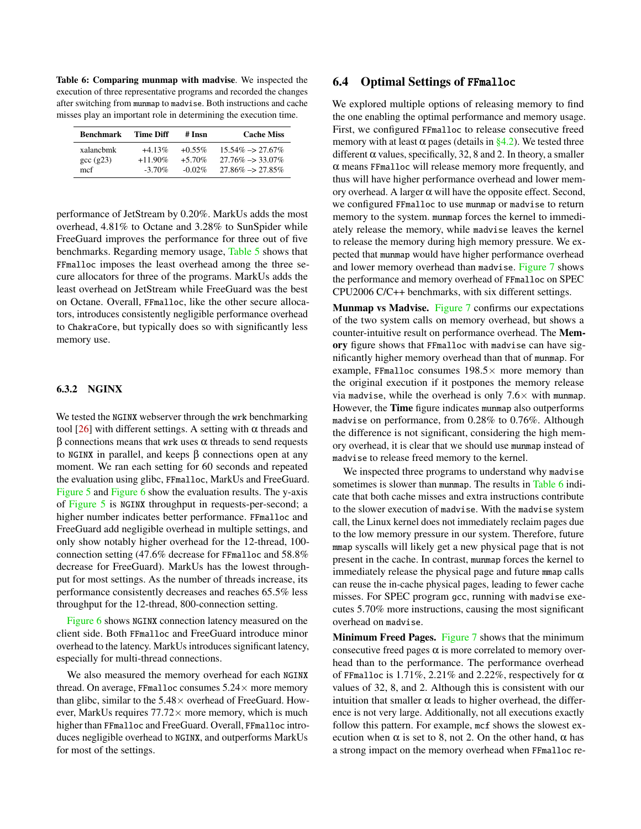<span id="page-11-1"></span>Table 6: Comparing munmap with madvise. We inspected the execution of three representative programs and recorded the changes after switching from munmap to madvise. Both instructions and cache misses play an important role in determining the execution time.

| <b>Benchmark</b> | Time Diff  | # Insn    | <b>Cache Miss</b>             |
|------------------|------------|-----------|-------------------------------|
| xalanchmk        | $+4.13\%$  | $+0.55\%$ | $15.54\% \rightarrow 27.67\%$ |
| $\csc(g23)$      | $+11.90\%$ | $+5.70%$  | $27.76\% \rightarrow 33.07\%$ |
| mcf              | $-3.70\%$  | $-0.02\%$ | $27.86\% \rightarrow 27.85\%$ |

performance of JetStream by 0.20%. MarkUs adds the most overhead, 4.81% to Octane and 3.28% to SunSpider while FreeGuard improves the performance for three out of five benchmarks. Regarding memory usage, [Table 5](#page-10-2) shows that FFmalloc imposes the least overhead among the three secure allocators for three of the programs. MarkUs adds the least overhead on JetStream while FreeGuard was the best on Octane. Overall, FFmalloc, like the other secure allocators, introduces consistently negligible performance overhead to ChakraCore, but typically does so with significantly less memory use.

#### 6.3.2 NGINX

We tested the NGINX webserver through the wrk benchmarking tool [\[26\]](#page-15-31) with different settings. A setting with  $\alpha$  threads and β connections means that wrk uses α threads to send requests to NGINX in parallel, and keeps β connections open at any moment. We ran each setting for 60 seconds and repeated the evaluation using glibc, FFmalloc, MarkUs and FreeGuard. [Figure 5](#page-10-3) and [Figure 6](#page-10-4) show the evaluation results. The y-axis of [Figure 5](#page-10-3) is NGINX throughput in requests-per-second; a higher number indicates better performance. FFmalloc and FreeGuard add negligible overhead in multiple settings, and only show notably higher overhead for the 12-thread, 100 connection setting (47.6% decrease for FFmalloc and 58.8% decrease for FreeGuard). MarkUs has the lowest throughput for most settings. As the number of threads increase, its performance consistently decreases and reaches 65.5% less throughput for the 12-thread, 800-connection setting.

[Figure 6](#page-10-4) shows NGINX connection latency measured on the client side. Both FFmalloc and FreeGuard introduce minor overhead to the latency. MarkUs introduces significant latency, especially for multi-thread connections.

We also measured the memory overhead for each NGINX thread. On average, FFmalloc consumes  $5.24 \times$  more memory than glibc, similar to the  $5.48\times$  overhead of FreeGuard. However, MarkUs requires  $77.72 \times$  more memory, which is much higher than FFmalloc and FreeGuard. Overall, FFmalloc introduces negligible overhead to NGINX, and outperforms MarkUs for most of the settings.

#### <span id="page-11-0"></span>6.4 Optimal Settings of FFmalloc

We explored multiple options of releasing memory to find the one enabling the optimal performance and memory usage. First, we configured FFmalloc to release consecutive freed memory with at least  $\alpha$  pages (details in [§4.2\)](#page-5-0). We tested three different  $\alpha$  values, specifically, 32, 8 and 2. In theory, a smaller α means FFmalloc will release memory more frequently, and thus will have higher performance overhead and lower memory overhead. A larger α will have the opposite effect. Second, we configured FFmalloc to use munmap or madvise to return memory to the system. munmap forces the kernel to immediately release the memory, while madvise leaves the kernel to release the memory during high memory pressure. We expected that munmap would have higher performance overhead and lower memory overhead than madvise. [Figure 7](#page-12-0) shows the performance and memory overhead of FFmalloc on SPEC CPU2006 C/C++ benchmarks, with six different settings.

Munmap vs Madvise. [Figure 7](#page-12-0) confirms our expectations of the two system calls on memory overhead, but shows a counter-intuitive result on performance overhead. The Memory figure shows that FFmalloc with madvise can have significantly higher memory overhead than that of munmap. For example, FFmalloc consumes  $198.5\times$  more memory than the original execution if it postpones the memory release via madvise, while the overhead is only  $7.6\times$  with munmap. However, the Time figure indicates munmap also outperforms madvise on performance, from 0.28% to 0.76%. Although the difference is not significant, considering the high memory overhead, it is clear that we should use munmap instead of madvise to release freed memory to the kernel.

We inspected three programs to understand why madvise sometimes is slower than munmap. The results in [Table 6](#page-11-1) indicate that both cache misses and extra instructions contribute to the slower execution of madvise. With the madvise system call, the Linux kernel does not immediately reclaim pages due to the low memory pressure in our system. Therefore, future mmap syscalls will likely get a new physical page that is not present in the cache. In contrast, munmap forces the kernel to immediately release the physical page and future mmap calls can reuse the in-cache physical pages, leading to fewer cache misses. For SPEC program gcc, running with madvise executes 5.70% more instructions, causing the most significant overhead on madvise.

Minimum Freed Pages. [Figure 7](#page-12-0) shows that the minimum consecutive freed pages  $\alpha$  is more correlated to memory overhead than to the performance. The performance overhead of FFmalloc is 1.71%, 2.21% and 2.22%, respectively for  $\alpha$ values of 32, 8, and 2. Although this is consistent with our intuition that smaller  $\alpha$  leads to higher overhead, the difference is not very large. Additionally, not all executions exactly follow this pattern. For example, mcf shows the slowest execution when  $\alpha$  is set to 8, not 2. On the other hand,  $\alpha$  has a strong impact on the memory overhead when FFmalloc re-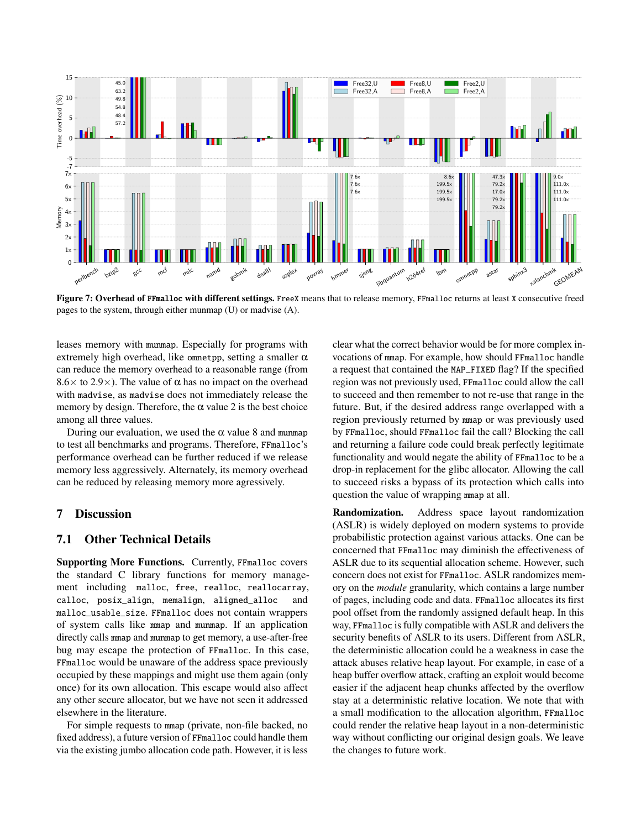<span id="page-12-0"></span>

Figure 7: Overhead of FFmalloc with different settings. FreeX means that to release memory, FFmalloc returns at least X consecutive freed pages to the system, through either munmap (U) or madvise (A).

leases memory with munmap. Especially for programs with extremely high overhead, like omnetpp, setting a smaller  $\alpha$ can reduce the memory overhead to a reasonable range (from  $8.6\times$  to 2.9 $\times$ ). The value of  $\alpha$  has no impact on the overhead with madvise, as madvise does not immediately release the memory by design. Therefore, the  $\alpha$  value 2 is the best choice among all three values.

During our evaluation, we used the  $\alpha$  value 8 and munmap to test all benchmarks and programs. Therefore, FFmalloc's performance overhead can be further reduced if we release memory less aggressively. Alternately, its memory overhead can be reduced by releasing memory more agressively.

# 7 Discussion

### 7.1 Other Technical Details

Supporting More Functions. Currently, FFmalloc covers the standard C library functions for memory management including malloc, free, realloc, reallocarray, calloc, posix\_align, memalign, aligned\_alloc and malloc\_usable\_size. FFmalloc does not contain wrappers of system calls like mmap and munmap. If an application directly calls mmap and munmap to get memory, a use-after-free bug may escape the protection of FFmalloc. In this case, FFmalloc would be unaware of the address space previously occupied by these mappings and might use them again (only once) for its own allocation. This escape would also affect any other secure allocator, but we have not seen it addressed elsewhere in the literature.

For simple requests to mmap (private, non-file backed, no fixed address), a future version of FFmalloc could handle them via the existing jumbo allocation code path. However, it is less

clear what the correct behavior would be for more complex invocations of mmap. For example, how should FFmalloc handle a request that contained the MAP\_FIXED flag? If the specified region was not previously used, FFmalloc could allow the call to succeed and then remember to not re-use that range in the future. But, if the desired address range overlapped with a region previously returned by mmap or was previously used by FFmalloc, should FFmalloc fail the call? Blocking the call and returning a failure code could break perfectly legitimate functionality and would negate the ability of FFmalloc to be a drop-in replacement for the glibc allocator. Allowing the call to succeed risks a bypass of its protection which calls into question the value of wrapping mmap at all.

Randomization. Address space layout randomization (ASLR) is widely deployed on modern systems to provide probabilistic protection against various attacks. One can be concerned that FFmalloc may diminish the effectiveness of ASLR due to its sequential allocation scheme. However, such concern does not exist for FFmalloc. ASLR randomizes memory on the *module* granularity, which contains a large number of pages, including code and data. FFmalloc allocates its first pool offset from the randomly assigned default heap. In this way, FFmalloc is fully compatible with ASLR and delivers the security benefits of ASLR to its users. Different from ASLR, the deterministic allocation could be a weakness in case the attack abuses relative heap layout. For example, in case of a heap buffer overflow attack, crafting an exploit would become easier if the adjacent heap chunks affected by the overflow stay at a deterministic relative location. We note that with a small modification to the allocation algorithm, FFmalloc could render the relative heap layout in a non-deterministic way without conflicting our original design goals. We leave the changes to future work.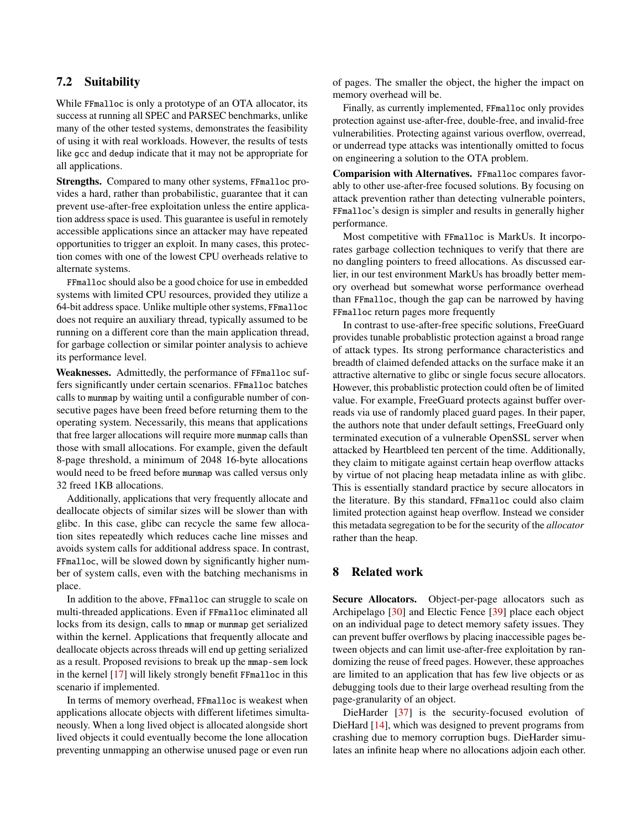# 7.2 Suitability

While FFmalloc is only a prototype of an OTA allocator, its success at running all SPEC and PARSEC benchmarks, unlike many of the other tested systems, demonstrates the feasibility of using it with real workloads. However, the results of tests like gcc and dedup indicate that it may not be appropriate for all applications.

Strengths. Compared to many other systems, FFmalloc provides a hard, rather than probabilistic, guarantee that it can prevent use-after-free exploitation unless the entire application address space is used. This guarantee is useful in remotely accessible applications since an attacker may have repeated opportunities to trigger an exploit. In many cases, this protection comes with one of the lowest CPU overheads relative to alternate systems.

FFmalloc should also be a good choice for use in embedded systems with limited CPU resources, provided they utilize a 64-bit address space. Unlike multiple other systems, FFmalloc does not require an auxiliary thread, typically assumed to be running on a different core than the main application thread, for garbage collection or similar pointer analysis to achieve its performance level.

Weaknesses. Admittedly, the performance of FFmalloc suffers significantly under certain scenarios. FFmalloc batches calls to munmap by waiting until a configurable number of consecutive pages have been freed before returning them to the operating system. Necessarily, this means that applications that free larger allocations will require more munmap calls than those with small allocations. For example, given the default 8-page threshold, a minimum of 2048 16-byte allocations would need to be freed before munmap was called versus only 32 freed 1KB allocations.

Additionally, applications that very frequently allocate and deallocate objects of similar sizes will be slower than with glibc. In this case, glibc can recycle the same few allocation sites repeatedly which reduces cache line misses and avoids system calls for additional address space. In contrast, FFmalloc, will be slowed down by significantly higher number of system calls, even with the batching mechanisms in place.

In addition to the above, FFmalloc can struggle to scale on multi-threaded applications. Even if FFmalloc eliminated all locks from its design, calls to mmap or munmap get serialized within the kernel. Applications that frequently allocate and deallocate objects across threads will end up getting serialized as a result. Proposed revisions to break up the mmap-sem lock in the kernel [\[17\]](#page-15-32) will likely strongly benefit FFmalloc in this scenario if implemented.

In terms of memory overhead, FFmalloc is weakest when applications allocate objects with different lifetimes simultaneously. When a long lived object is allocated alongside short lived objects it could eventually become the lone allocation preventing unmapping an otherwise unused page or even run

of pages. The smaller the object, the higher the impact on memory overhead will be.

Finally, as currently implemented, FFmalloc only provides protection against use-after-free, double-free, and invalid-free vulnerabilities. Protecting against various overflow, overread, or underread type attacks was intentionally omitted to focus on engineering a solution to the OTA problem.

Comparision with Alternatives. FFmalloc compares favorably to other use-after-free focused solutions. By focusing on attack prevention rather than detecting vulnerable pointers, FFmalloc's design is simpler and results in generally higher performance.

Most competitive with FFmalloc is MarkUs. It incorporates garbage collection techniques to verify that there are no dangling pointers to freed allocations. As discussed earlier, in our test environment MarkUs has broadly better memory overhead but somewhat worse performance overhead than FFmalloc, though the gap can be narrowed by having FFmalloc return pages more frequently

In contrast to use-after-free specific solutions, FreeGuard provides tunable probablistic protection against a broad range of attack types. Its strong performance characteristics and breadth of claimed defended attacks on the surface make it an attractive alternative to glibc or single focus secure allocators. However, this probablistic protection could often be of limited value. For example, FreeGuard protects against buffer overreads via use of randomly placed guard pages. In their paper, the authors note that under default settings, FreeGuard only terminated execution of a vulnerable OpenSSL server when attacked by Heartbleed ten percent of the time. Additionally, they claim to mitigate against certain heap overflow attacks by virtue of not placing heap metadata inline as with glibc. This is essentially standard practice by secure allocators in the literature. By this standard, FFmalloc could also claim limited protection against heap overflow. Instead we consider this metadata segregation to be for the security of the *allocator* rather than the heap.

# 8 Related work

Secure Allocators. Object-per-page allocators such as Archipelago [\[30\]](#page-15-15) and Electic Fence [\[39\]](#page-15-33) place each object on an individual page to detect memory safety issues. They can prevent buffer overflows by placing inaccessible pages between objects and can limit use-after-free exploitation by randomizing the reuse of freed pages. However, these approaches are limited to an application that has few live objects or as debugging tools due to their large overhead resulting from the page-granularity of an object.

DieHarder [\[37\]](#page-15-14) is the security-focused evolution of DieHard [\[14\]](#page-15-34), which was designed to prevent programs from crashing due to memory corruption bugs. DieHarder simulates an infinite heap where no allocations adjoin each other.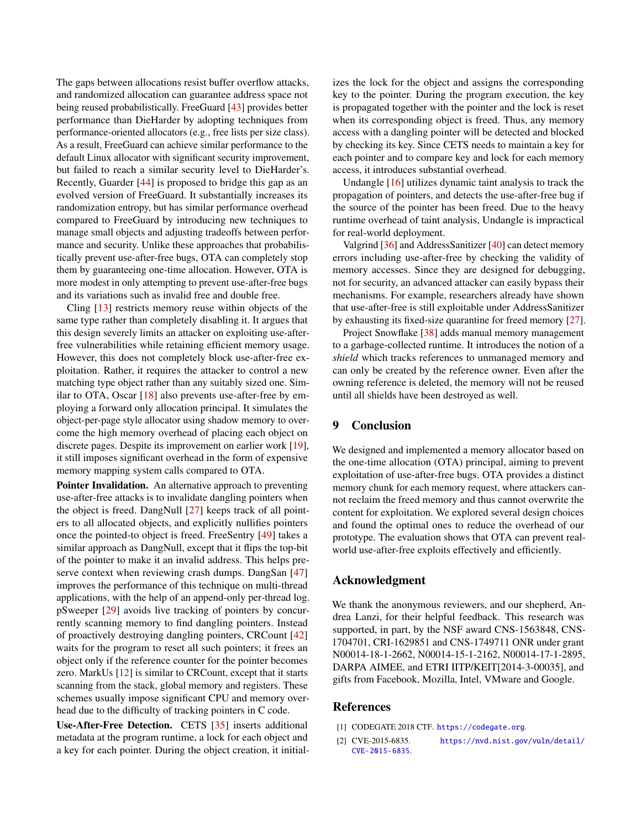The gaps between allocations resist buffer overflow attacks, and randomized allocation can guarantee address space not being reused probabilistically. FreeGuard [\[43\]](#page-16-6) provides better performance than DieHarder by adopting techniques from performance-oriented allocators (e.g., free lists per size class). As a result, FreeGuard can achieve similar performance to the default Linux allocator with significant security improvement, but failed to reach a similar security level to DieHarder's. Recently, Guarder [\[44\]](#page-16-7) is proposed to bridge this gap as an evolved version of FreeGuard. It substantially increases its randomization entropy, but has similar performance overhead compared to FreeGuard by introducing new techniques to manage small objects and adjusting tradeoffs between performance and security. Unlike these approaches that probabilistically prevent use-after-free bugs, OTA can completely stop them by guaranteeing one-time allocation. However, OTA is more modest in only attempting to prevent use-after-free bugs and its variations such as invalid free and double free.

Cling [\[13\]](#page-15-16) restricts memory reuse within objects of the same type rather than completely disabling it. It argues that this design severely limits an attacker on exploiting use-afterfree vulnerabilities while retaining efficient memory usage. However, this does not completely block use-after-free exploitation. Rather, it requires the attacker to control a new matching type object rather than any suitably sized one. Similar to OTA, Oscar [\[18\]](#page-15-5) also prevents use-after-free by employing a forward only allocation principal. It simulates the object-per-page style allocator using shadow memory to overcome the high memory overhead of placing each object on discrete pages. Despite its improvement on earlier work [\[19\]](#page-15-35), it still imposes significant overhead in the form of expensive memory mapping system calls compared to OTA.

Pointer Invalidation. An alternative approach to preventing use-after-free attacks is to invalidate dangling pointers when the object is freed. DangNull [\[27\]](#page-15-1) keeps track of all pointers to all allocated objects, and explicitly nullifies pointers once the pointed-to object is freed. FreeSentry [\[49\]](#page-16-2) takes a similar approach as DangNull, except that it flips the top-bit of the pointer to make it an invalid address. This helps pre-serve context when reviewing crash dumps. DangSan [\[47\]](#page-16-1) improves the performance of this technique on multi-thread applications, with the help of an append-only per-thread log. pSweeper [\[29\]](#page-15-7) avoids live tracking of pointers by concurrently scanning memory to find dangling pointers. Instead of proactively destroying dangling pointers, CRCount [\[42\]](#page-15-8) waits for the program to reset all such pointers; it frees an object only if the reference counter for the pointer becomes zero. MarkUs [\[12\]](#page-15-6) is similar to CRCount, except that it starts scanning from the stack, global memory and registers. These schemes usually impose significant CPU and memory overhead due to the difficulty of tracking pointers in C code.

Use-After-Free Detection. CETS [\[35\]](#page-15-3) inserts additional metadata at the program runtime, a lock for each object and a key for each pointer. During the object creation, it initial-

izes the lock for the object and assigns the corresponding key to the pointer. During the program execution, the key is propagated together with the pointer and the lock is reset when its corresponding object is freed. Thus, any memory access with a dangling pointer will be detected and blocked by checking its key. Since CETS needs to maintain a key for each pointer and to compare key and lock for each memory access, it introduces substantial overhead.

Undangle [\[16\]](#page-15-36) utilizes dynamic taint analysis to track the propagation of pointers, and detects the use-after-free bug if the source of the pointer has been freed. Due to the heavy runtime overhead of taint analysis, Undangle is impractical for real-world deployment.

Valgrind [\[36\]](#page-15-37) and AddressSanitizer [\[40\]](#page-15-4) can detect memory errors including use-after-free by checking the validity of memory accesses. Since they are designed for debugging, not for security, an advanced attacker can easily bypass their mechanisms. For example, researchers already have shown that use-after-free is still exploitable under AddressSanitizer by exhausting its fixed-size quarantine for freed memory [\[27\]](#page-15-1).

Project Snowflake [\[38\]](#page-15-38) adds manual memory management to a garbage-collected runtime. It introduces the notion of a *shield* which tracks references to unmanaged memory and can only be created by the reference owner. Even after the owning reference is deleted, the memory will not be reused until all shields have been destroyed as well.

# 9 Conclusion

We designed and implemented a memory allocator based on the one-time allocation (OTA) principal, aiming to prevent exploitation of use-after-free bugs. OTA provides a distinct memory chunk for each memory request, where attackers cannot reclaim the freed memory and thus cannot overwrite the content for exploitation. We explored several design choices and found the optimal ones to reduce the overhead of our prototype. The evaluation shows that OTA can prevent realworld use-after-free exploits effectively and efficiently.

## Acknowledgment

We thank the anonymous reviewers, and our shepherd, Andrea Lanzi, for their helpful feedback. This research was supported, in part, by the NSF award CNS-1563848, CNS-1704701, CRI-1629851 and CNS-1749711 ONR under grant N00014-18-1-2662, N00014-15-1-2162, N00014-17-1-2895, DARPA AIMEE, and ETRI IITP/KEIT[2014-3-00035], and gifts from Facebook, Mozilla, Intel, VMware and Google.

#### References

- <span id="page-14-0"></span>[1] CODEGATE 2018 CTF. <https://codegate.org>.
- <span id="page-14-1"></span>[2] CVE-2015-6835. [https://nvd.nist.gov/vuln/detail/](https://nvd.nist.gov/vuln/detail/CVE-2015-6835) [CVE-2015-6835](https://nvd.nist.gov/vuln/detail/CVE-2015-6835).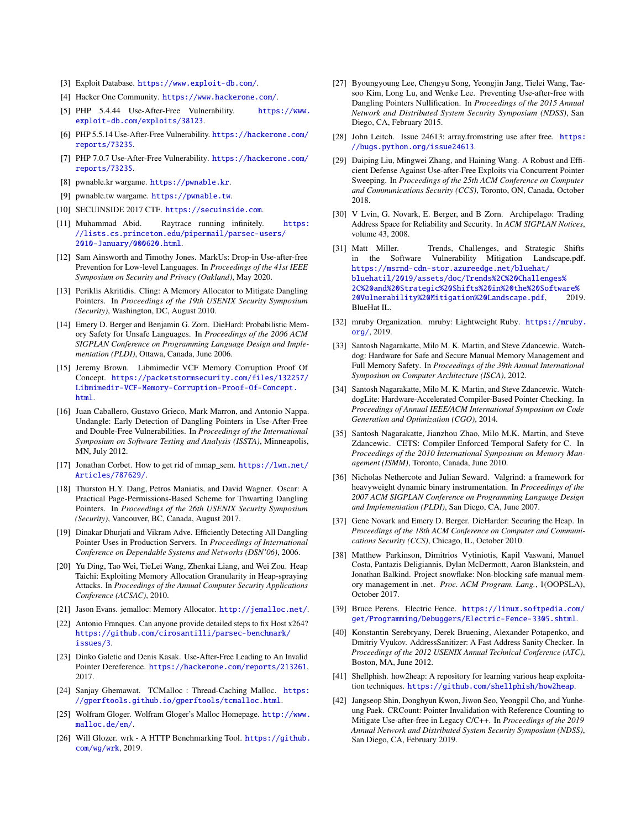- <span id="page-15-26"></span>[3] Exploit Database. <https://www.exploit-db.com/>.
- <span id="page-15-27"></span>[4] Hacker One Community. <https://www.hackerone.com/>.
- <span id="page-15-22"></span>[5] PHP 5.4.44 Use-After-Free Vulnerability. [https://www.](https://www.exploit-db.com/exploits/38123) [exploit-db.com/exploits/38123](https://www.exploit-db.com/exploits/38123).
- <span id="page-15-21"></span>[6] PHP 5.5.14 Use-After-Free Vulnerability. [https://hackerone.com/](https://hackerone.com/reports/73235) [reports/73235](https://hackerone.com/reports/73235).
- <span id="page-15-20"></span>[7] PHP 7.0.7 Use-After-Free Vulnerability. [https://hackerone.com/](https://hackerone.com/reports/73235) [reports/73235](https://hackerone.com/reports/73235).
- <span id="page-15-19"></span>[8] pwnable.kr wargame. <https://pwnable.kr>.
- <span id="page-15-18"></span>[9] pwnable.tw wargame. <https://pwnable.tw>.
- <span id="page-15-17"></span>[10] SECUINSIDE 2017 CTF. <https://secuinside.com>.
- <span id="page-15-29"></span>[11] Muhammad Abid. Raytrace running infinitely. [https:](https://lists.cs.princeton.edu/pipermail/parsec-users/2010-January/000620.html) [//lists.cs.princeton.edu/pipermail/parsec-users/](https://lists.cs.princeton.edu/pipermail/parsec-users/2010-January/000620.html) [2010-January/000620.html](https://lists.cs.princeton.edu/pipermail/parsec-users/2010-January/000620.html).
- <span id="page-15-6"></span>[12] Sam Ainsworth and Timothy Jones. MarkUs: Drop-in Use-after-free Prevention for Low-level Languages. In *Proceedings of the 41st IEEE Symposium on Security and Privacy (Oakland)*, May 2020.
- <span id="page-15-16"></span>[13] Periklis Akritidis. Cling: A Memory Allocator to Mitigate Dangling Pointers. In *Proceedings of the 19th USENIX Security Symposium (Security)*, Washington, DC, August 2010.
- <span id="page-15-34"></span>[14] Emery D. Berger and Benjamin G. Zorn. DieHard: Probabilistic Memory Safety for Unsafe Languages. In *Proceedings of the 2006 ACM SIGPLAN Conference on Programming Language Design and Implementation (PLDI)*, Ottawa, Canada, June 2006.
- <span id="page-15-24"></span>[15] Jeremy Brown. Libmimedir VCF Memory Corruption Proof Of Concept. [https://packetstormsecurity.com/files/132257/](https://packetstormsecurity.com/files/132257/Libmimedir-VCF-Memory-Corruption-Proof-Of-Concept.html) [Libmimedir-VCF-Memory-Corruption-Proof-Of-Concept.](https://packetstormsecurity.com/files/132257/Libmimedir-VCF-Memory-Corruption-Proof-Of-Concept.html) [html](https://packetstormsecurity.com/files/132257/Libmimedir-VCF-Memory-Corruption-Proof-Of-Concept.html).
- <span id="page-15-36"></span>[16] Juan Caballero, Gustavo Grieco, Mark Marron, and Antonio Nappa. Undangle: Early Detection of Dangling Pointers in Use-After-Free and Double-Free Vulnerabilities. In *Proceedings of the International Symposium on Software Testing and Analysis (ISSTA)*, Minneapolis, MN, July 2012.
- <span id="page-15-32"></span>[17] Jonathan Corbet. How to get rid of mmap\_sem. [https://lwn.net/](https://lwn.net/Articles/787629/) [Articles/787629/](https://lwn.net/Articles/787629/).
- <span id="page-15-5"></span>[18] Thurston H.Y. Dang, Petros Maniatis, and David Wagner. Oscar: A Practical Page-Permissions-Based Scheme for Thwarting Dangling Pointers. In *Proceedings of the 26th USENIX Security Symposium (Security)*, Vancouver, BC, Canada, August 2017.
- <span id="page-15-35"></span>[19] Dinakar Dhurjati and Vikram Adve. Efficiently Detecting All Dangling Pointer Uses in Production Servers. In *Proceedings of International Conference on Dependable Systems and Networks (DSN'06)*, 2006.
- <span id="page-15-12"></span>[20] Yu Ding, Tao Wei, TieLei Wang, Zhenkai Liang, and Wei Zou. Heap Taichi: Exploiting Memory Allocation Granularity in Heap-spraying Attacks. In *Proceedings of the Annual Computer Security Applications Conference (ACSAC)*, 2010.
- <span id="page-15-9"></span>[21] Jason Evans. jemalloc: Memory Allocator. <http://jemalloc.net/>.
- <span id="page-15-30"></span>[22] Antonio Franques. Can anyone provide detailed steps to fix Host x264? [https://github.com/cirosantilli/parsec-benchmark/](https://github.com/cirosantilli/parsec-benchmark/issues/3) [issues/3](https://github.com/cirosantilli/parsec-benchmark/issues/3).
- <span id="page-15-23"></span>[23] Dinko Galetic and Denis Kasak. Use-After-Free Leading to An Invalid Pointer Dereference. <https://hackerone.com/reports/213261>, 2017.
- <span id="page-15-10"></span>[24] Sanjay Ghemawat. TCMalloc : Thread-Caching Malloc. [https:](https://gperftools.github.io/gperftools/tcmalloc.html) [//gperftools.github.io/gperftools/tcmalloc.html](https://gperftools.github.io/gperftools/tcmalloc.html).
- <span id="page-15-11"></span>[25] Wolfram Gloger. Wolfram Gloger's Malloc Homepage. [http://www.](http://www.malloc.de/en/) [malloc.de/en/](http://www.malloc.de/en/).
- <span id="page-15-31"></span>[26] Will Glozer. wrk - A HTTP Benchmarking Tool. [https://github.](https://github.com/wg/wrk) [com/wg/wrk](https://github.com/wg/wrk), 2019.
- <span id="page-15-1"></span>[27] Byoungyoung Lee, Chengyu Song, Yeongjin Jang, Tielei Wang, Taesoo Kim, Long Lu, and Wenke Lee. Preventing Use-after-free with Dangling Pointers Nullification. In *Proceedings of the 2015 Annual Network and Distributed System Security Symposium (NDSS)*, San Diego, CA, February 2015.
- <span id="page-15-25"></span>[28] John Leitch. Issue 24613: array.fromstring use after free. [https:](https://bugs.python.org/issue24613) [//bugs.python.org/issue24613](https://bugs.python.org/issue24613).
- <span id="page-15-7"></span>[29] Daiping Liu, Mingwei Zhang, and Haining Wang. A Robust and Efficient Defense Against Use-after-Free Exploits via Concurrent Pointer Sweeping. In *Proceedings of the 25th ACM Conference on Computer and Communications Security (CCS)*, Toronto, ON, Canada, October 2018.
- <span id="page-15-15"></span>[30] V Lvin, G. Novark, E. Berger, and B Zorn. Archipelago: Trading Address Space for Reliability and Security. In *ACM SIGPLAN Notices*, volume 43, 2008.
- <span id="page-15-0"></span>[31] Matt Miller. Trends, Challenges, and Strategic Shifts in the Software Vulnerability Mitigation Landscape.pdf. [https://msrnd-cdn-stor.azureedge.net/bluehat/](https://msrnd-cdn-stor.azureedge.net/bluehat/bluehatil/2019/assets/doc/Trends%2C%20Challenges%2C%20and%20Strategic%20Shifts%20in%20the%20Software%20Vulnerability%20Mitigation%20Landscape.pdf) [bluehatil/2019/assets/doc/Trends%2C%20Challenges%](https://msrnd-cdn-stor.azureedge.net/bluehat/bluehatil/2019/assets/doc/Trends%2C%20Challenges%2C%20and%20Strategic%20Shifts%20in%20the%20Software%20Vulnerability%20Mitigation%20Landscape.pdf) [2C%20and%20Strategic%20Shifts%20in%20the%20Software%](https://msrnd-cdn-stor.azureedge.net/bluehat/bluehatil/2019/assets/doc/Trends%2C%20Challenges%2C%20and%20Strategic%20Shifts%20in%20the%20Software%20Vulnerability%20Mitigation%20Landscape.pdf) [20Vulnerability%20Mitigation%20Landscape.pdf](https://msrnd-cdn-stor.azureedge.net/bluehat/bluehatil/2019/assets/doc/Trends%2C%20Challenges%2C%20and%20Strategic%20Shifts%20in%20the%20Software%20Vulnerability%20Mitigation%20Landscape.pdf), 2019. BlueHat IL.
- <span id="page-15-28"></span>[32] mruby Organization. mruby: Lightweight Ruby. [https://mruby.](https://mruby.org/) [org/](https://mruby.org/), 2019.
- <span id="page-15-2"></span>[33] Santosh Nagarakatte, Milo M. K. Martin, and Steve Zdancewic. Watchdog: Hardware for Safe and Secure Manual Memory Management and Full Memory Safety. In *Proceedings of the 39th Annual International Symposium on Computer Architecture (ISCA)*, 2012.
- [34] Santosh Nagarakatte, Milo M. K. Martin, and Steve Zdancewic. WatchdogLite: Hardware-Accelerated Compiler-Based Pointer Checking. In *Proceedings of Annual IEEE/ACM International Symposium on Code Generation and Optimization (CGO)*, 2014.
- <span id="page-15-3"></span>[35] Santosh Nagarakatte, Jianzhou Zhao, Milo M.K. Martin, and Steve Zdancewic. CETS: Compiler Enforced Temporal Safety for C. In *Proceedings of the 2010 International Symposium on Memory Management (ISMM)*, Toronto, Canada, June 2010.
- <span id="page-15-37"></span>[36] Nicholas Nethercote and Julian Seward. Valgrind: a framework for heavyweight dynamic binary instrumentation. In *Proceedings of the 2007 ACM SIGPLAN Conference on Programming Language Design and Implementation (PLDI)*, San Diego, CA, June 2007.
- <span id="page-15-14"></span>[37] Gene Novark and Emery D. Berger. DieHarder: Securing the Heap. In *Proceedings of the 18th ACM Conference on Computer and Communications Security (CCS)*, Chicago, IL, October 2010.
- <span id="page-15-38"></span>[38] Matthew Parkinson, Dimitrios Vytiniotis, Kapil Vaswani, Manuel Costa, Pantazis Deligiannis, Dylan McDermott, Aaron Blankstein, and Jonathan Balkind. Project snowflake: Non-blocking safe manual memory management in .net. *Proc. ACM Program. Lang.*, 1(OOPSLA), October 2017.
- <span id="page-15-33"></span>[39] Bruce Perens. Electric Fence. [https://linux.softpedia.com/](https://linux.softpedia.com/get/Programming/Debuggers/Electric-Fence-3305.shtml) [get/Programming/Debuggers/Electric-Fence-3305.shtml](https://linux.softpedia.com/get/Programming/Debuggers/Electric-Fence-3305.shtml).
- <span id="page-15-4"></span>[40] Konstantin Serebryany, Derek Bruening, Alexander Potapenko, and Dmitriy Vyukov. AddressSanitizer: A Fast Address Sanity Checker. In *Proceedings of the 2012 USENIX Annual Technical Conference (ATC)*, Boston, MA, June 2012.
- <span id="page-15-13"></span>[41] Shellphish. how2heap: A repository for learning various heap exploitation techniques. <https://github.com/shellphish/how2heap>.
- <span id="page-15-8"></span>[42] Jangseop Shin, Donghyun Kwon, Jiwon Seo, Yeongpil Cho, and Yunheung Paek. CRCount: Pointer Invalidation with Reference Counting to Mitigate Use-after-free in Legacy C/C++. In *Proceedings of the 2019 Annual Network and Distributed System Security Symposium (NDSS)*, San Diego, CA, February 2019.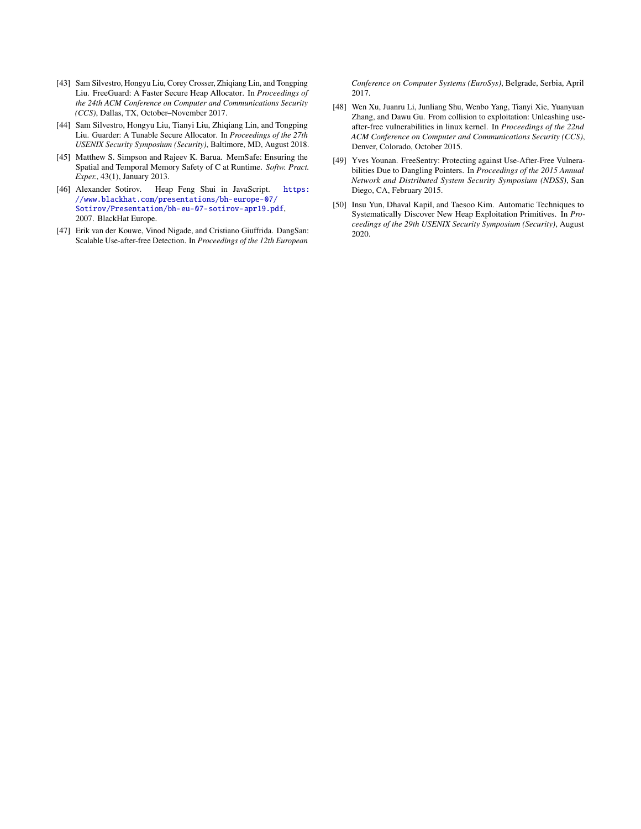- <span id="page-16-6"></span>[43] Sam Silvestro, Hongyu Liu, Corey Crosser, Zhiqiang Lin, and Tongping Liu. FreeGuard: A Faster Secure Heap Allocator. In *Proceedings of the 24th ACM Conference on Computer and Communications Security (CCS)*, Dallas, TX, October–November 2017.
- <span id="page-16-7"></span>[44] Sam Silvestro, Hongyu Liu, Tianyi Liu, Zhiqiang Lin, and Tongping Liu. Guarder: A Tunable Secure Allocator. In *Proceedings of the 27th USENIX Security Symposium (Security)*, Baltimore, MD, August 2018.
- <span id="page-16-0"></span>[45] Matthew S. Simpson and Rajeev K. Barua. MemSafe: Ensuring the Spatial and Temporal Memory Safety of C at Runtime. *Softw. Pract. Exper.*, 43(1), January 2013.
- <span id="page-16-3"></span>[46] Alexander Sotirov. Heap Feng Shui in JavaScript. [https:](https://www.blackhat.com/presentations/bh-europe-07/Sotirov/Presentation/bh-eu-07-sotirov-apr19.pdf) [//www.blackhat.com/presentations/bh-europe-07/](https://www.blackhat.com/presentations/bh-europe-07/Sotirov/Presentation/bh-eu-07-sotirov-apr19.pdf) [Sotirov/Presentation/bh-eu-07-sotirov-apr19.pdf](https://www.blackhat.com/presentations/bh-europe-07/Sotirov/Presentation/bh-eu-07-sotirov-apr19.pdf), 2007. BlackHat Europe.
- <span id="page-16-1"></span>[47] Erik van der Kouwe, Vinod Nigade, and Cristiano Giuffrida. DangSan: Scalable Use-after-free Detection. In *Proceedings of the 12th European*

*Conference on Computer Systems (EuroSys)*, Belgrade, Serbia, April 2017.

- <span id="page-16-4"></span>[48] Wen Xu, Juanru Li, Junliang Shu, Wenbo Yang, Tianyi Xie, Yuanyuan Zhang, and Dawu Gu. From collision to exploitation: Unleashing useafter-free vulnerabilities in linux kernel. In *Proceedings of the 22nd ACM Conference on Computer and Communications Security (CCS)*, Denver, Colorado, October 2015.
- <span id="page-16-2"></span>[49] Yves Younan. FreeSentry: Protecting against Use-After-Free Vulnerabilities Due to Dangling Pointers. In *Proceedings of the 2015 Annual Network and Distributed System Security Symposium (NDSS)*, San Diego, CA, February 2015.
- <span id="page-16-5"></span>[50] Insu Yun, Dhaval Kapil, and Taesoo Kim. Automatic Techniques to Systematically Discover New Heap Exploitation Primitives. In *Proceedings of the 29th USENIX Security Symposium (Security)*, August 2020.